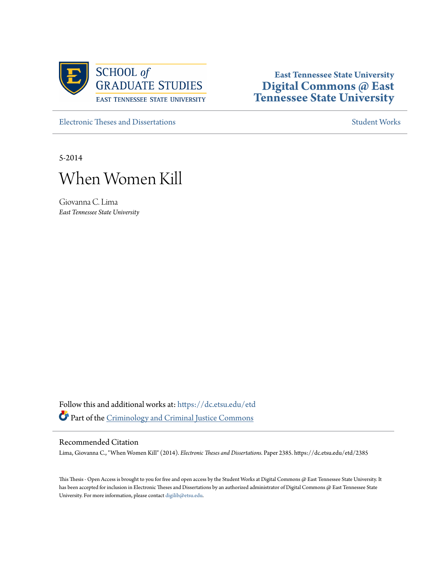

# **East Tennessee State University [Digital Commons @ East](https://dc.etsu.edu?utm_source=dc.etsu.edu%2Fetd%2F2385&utm_medium=PDF&utm_campaign=PDFCoverPages) [Tennessee State University](https://dc.etsu.edu?utm_source=dc.etsu.edu%2Fetd%2F2385&utm_medium=PDF&utm_campaign=PDFCoverPages)**

[Electronic Theses and Dissertations](https://dc.etsu.edu/etd?utm_source=dc.etsu.edu%2Fetd%2F2385&utm_medium=PDF&utm_campaign=PDFCoverPages) [Student Works](https://dc.etsu.edu/student-works?utm_source=dc.etsu.edu%2Fetd%2F2385&utm_medium=PDF&utm_campaign=PDFCoverPages) Student Works Student Works

5-2014



Giovanna C. Lima *East Tennessee State University*

Follow this and additional works at: [https://dc.etsu.edu/etd](https://dc.etsu.edu/etd?utm_source=dc.etsu.edu%2Fetd%2F2385&utm_medium=PDF&utm_campaign=PDFCoverPages) Part of the [Criminology and Criminal Justice Commons](http://network.bepress.com/hgg/discipline/367?utm_source=dc.etsu.edu%2Fetd%2F2385&utm_medium=PDF&utm_campaign=PDFCoverPages)

# Recommended Citation

Lima, Giovanna C., "When Women Kill" (2014). *Electronic Theses and Dissertations.* Paper 2385. https://dc.etsu.edu/etd/2385

This Thesis - Open Access is brought to you for free and open access by the Student Works at Digital Commons @ East Tennessee State University. It has been accepted for inclusion in Electronic Theses and Dissertations by an authorized administrator of Digital Commons @ East Tennessee State University. For more information, please contact [digilib@etsu.edu.](mailto:digilib@etsu.edu)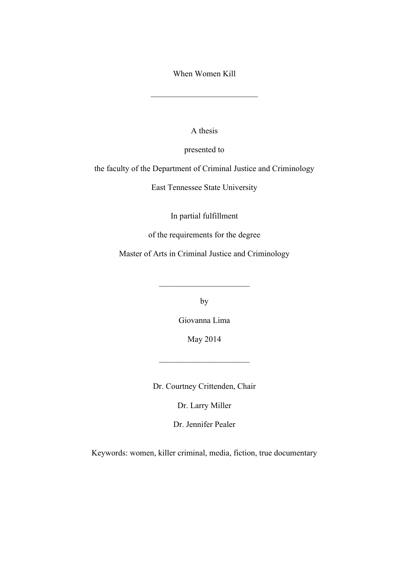When Women Kill

\_\_\_\_\_\_\_\_\_\_\_\_\_\_\_\_\_\_\_\_\_\_\_\_\_\_

A thesis

presented to

the faculty of the Department of Criminal Justice and Criminology

East Tennessee State University

In partial fulfillment

of the requirements for the degree

Master of Arts in Criminal Justice and Criminology

by

 $\mathcal{L}_\text{max}$ 

Giovanna Lima

May 2014

 $\overline{\phantom{a}}$  , where  $\overline{\phantom{a}}$  , where  $\overline{\phantom{a}}$  , where  $\overline{\phantom{a}}$ 

Dr. Courtney Crittenden, Chair

Dr. Larry Miller

Dr. Jennifer Pealer

Keywords: women, killer criminal, media, fiction, true documentary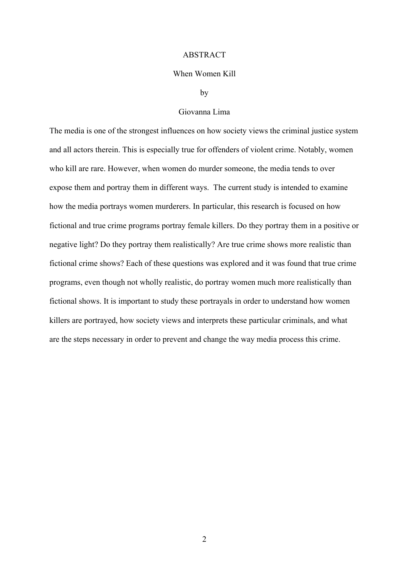#### ABSTRACT

#### When Women Kill

#### by

# Giovanna Lima

The media is one of the strongest influences on how society views the criminal justice system and all actors therein. This is especially true for offenders of violent crime. Notably, women who kill are rare. However, when women do murder someone, the media tends to over expose them and portray them in different ways. The current study is intended to examine how the media portrays women murderers. In particular, this research is focused on how fictional and true crime programs portray female killers. Do they portray them in a positive or negative light? Do they portray them realistically? Are true crime shows more realistic than fictional crime shows? Each of these questions was explored and it was found that true crime programs, even though not wholly realistic, do portray women much more realistically than fictional shows. It is important to study these portrayals in order to understand how women killers are portrayed, how society views and interprets these particular criminals, and what are the steps necessary in order to prevent and change the way media process this crime.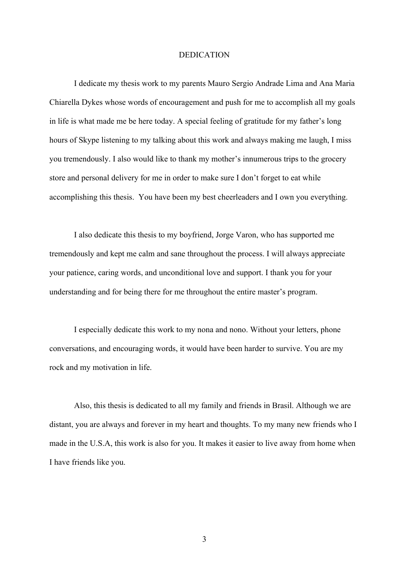#### DEDICATION

I dedicate my thesis work to my parents Mauro Sergio Andrade Lima and Ana Maria Chiarella Dykes whose words of encouragement and push for me to accomplish all my goals in life is what made me be here today. A special feeling of gratitude for my father's long hours of Skype listening to my talking about this work and always making me laugh, I miss you tremendously. I also would like to thank my mother's innumerous trips to the grocery store and personal delivery for me in order to make sure I don't forget to eat while accomplishing this thesis. You have been my best cheerleaders and I own you everything.

I also dedicate this thesis to my boyfriend, Jorge Varon, who has supported me tremendously and kept me calm and sane throughout the process. I will always appreciate your patience, caring words, and unconditional love and support. I thank you for your understanding and for being there for me throughout the entire master's program.

I especially dedicate this work to my nona and nono. Without your letters, phone conversations, and encouraging words, it would have been harder to survive. You are my rock and my motivation in life.

Also, this thesis is dedicated to all my family and friends in Brasil. Although we are distant, you are always and forever in my heart and thoughts. To my many new friends who I made in the U.S.A, this work is also for you. It makes it easier to live away from home when I have friends like you.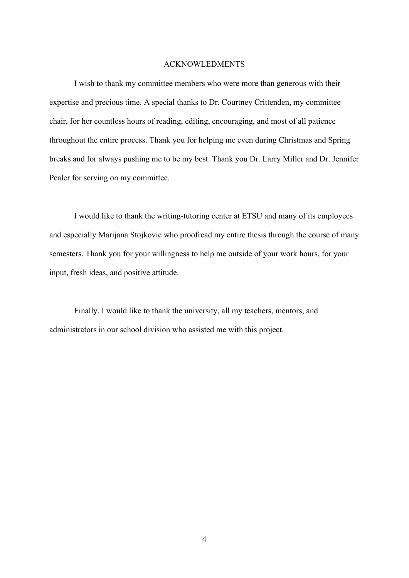# ACKNOWLEDMENTS

I wish to thank my committee members who were more than generous with their expertise and precious time. A special thanks to Dr. Courtney Crittenden, my committee chair, for her countless hours of reading, editing, encouraging, and most of all patience throughout the entire process. Thank you for helping me even during Christmas and Spring breaks and for always pushing me to be my best. Thank you Dr. Larry Miller and Dr. Jennifer Pealer for serving on my committee.

I would like to thank the writing-tutoring center at ETSU and many of its employees and especially Marijana Stojkovic who proofread my entire thesis through the course of many semesters. Thank you for your willingness to help me outside of your work hours, for your input, fresh ideas, and positive attitude.

Finally, I would like to thank the university, all my teachers, mentors, and administrators in our school division who assisted me with this project.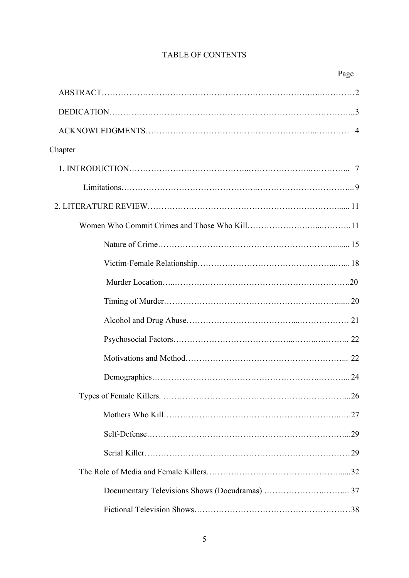# TABLE OF CONTENTS

| Chapter |  |
|---------|--|
|         |  |
|         |  |
|         |  |
|         |  |
|         |  |
|         |  |
|         |  |
|         |  |
|         |  |
|         |  |
|         |  |
|         |  |
|         |  |
|         |  |
|         |  |
|         |  |
|         |  |
|         |  |
|         |  |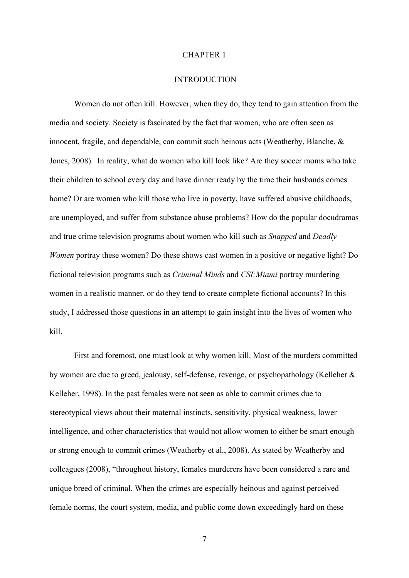#### CHAPTER 1

# **INTRODUCTION**

Women do not often kill. However, when they do, they tend to gain attention from the media and society. Society is fascinated by the fact that women, who are often seen as innocent, fragile, and dependable, can commit such heinous acts (Weatherby, Blanche, & Jones, 2008). In reality, what do women who kill look like? Are they soccer moms who take their children to school every day and have dinner ready by the time their husbands comes home? Or are women who kill those who live in poverty, have suffered abusive childhoods, are unemployed, and suffer from substance abuse problems? How do the popular docudramas and true crime television programs about women who kill such as *Snapped* and *Deadly Women* portray these women? Do these shows cast women in a positive or negative light? Do fictional television programs such as *Criminal Minds* and *CSI:Miami* portray murdering women in a realistic manner, or do they tend to create complete fictional accounts? In this study, I addressed those questions in an attempt to gain insight into the lives of women who kill.

First and foremost, one must look at why women kill. Most of the murders committed by women are due to greed, jealousy, self-defense, revenge, or psychopathology (Kelleher & Kelleher, 1998). In the past females were not seen as able to commit crimes due to stereotypical views about their maternal instincts, sensitivity, physical weakness, lower intelligence, and other characteristics that would not allow women to either be smart enough or strong enough to commit crimes (Weatherby et al., 2008). As stated by Weatherby and colleagues (2008), "throughout history, females murderers have been considered a rare and unique breed of criminal. When the crimes are especially heinous and against perceived female norms, the court system, media, and public come down exceedingly hard on these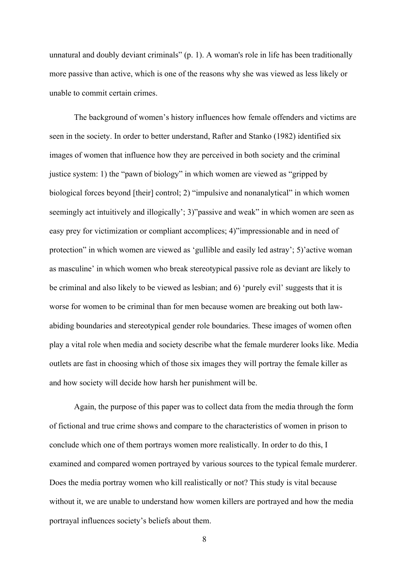unnatural and doubly deviant criminals" (p. 1). A woman's role in life has been traditionally more passive than active, which is one of the reasons why she was viewed as less likely or unable to commit certain crimes.

The background of women's history influences how female offenders and victims are seen in the society. In order to better understand, Rafter and Stanko (1982) identified six images of women that influence how they are perceived in both society and the criminal justice system: 1) the "pawn of biology" in which women are viewed as "gripped by biological forces beyond [their] control; 2) "impulsive and nonanalytical" in which women seemingly act intuitively and illogically'; 3)"passive and weak" in which women are seen as easy prey for victimization or compliant accomplices; 4)"impressionable and in need of protection" in which women are viewed as 'gullible and easily led astray'; 5)'active woman as masculine' in which women who break stereotypical passive role as deviant are likely to be criminal and also likely to be viewed as lesbian; and 6) 'purely evil' suggests that it is worse for women to be criminal than for men because women are breaking out both lawabiding boundaries and stereotypical gender role boundaries. These images of women often play a vital role when media and society describe what the female murderer looks like. Media outlets are fast in choosing which of those six images they will portray the female killer as and how society will decide how harsh her punishment will be.

Again, the purpose of this paper was to collect data from the media through the form of fictional and true crime shows and compare to the characteristics of women in prison to conclude which one of them portrays women more realistically. In order to do this, I examined and compared women portrayed by various sources to the typical female murderer. Does the media portray women who kill realistically or not? This study is vital because without it, we are unable to understand how women killers are portrayed and how the media portrayal influences society's beliefs about them.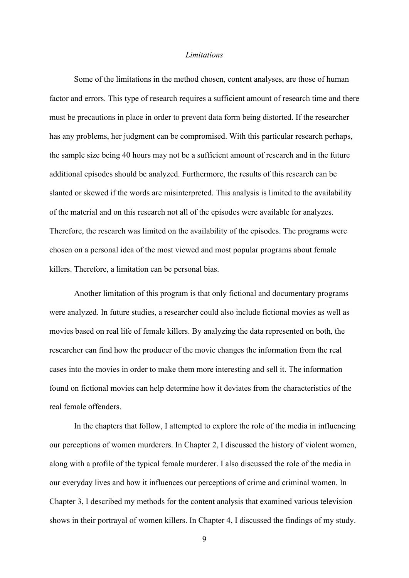# *Limitations*

Some of the limitations in the method chosen, content analyses, are those of human factor and errors. This type of research requires a sufficient amount of research time and there must be precautions in place in order to prevent data form being distorted. If the researcher has any problems, her judgment can be compromised. With this particular research perhaps, the sample size being 40 hours may not be a sufficient amount of research and in the future additional episodes should be analyzed. Furthermore, the results of this research can be slanted or skewed if the words are misinterpreted. This analysis is limited to the availability of the material and on this research not all of the episodes were available for analyzes. Therefore, the research was limited on the availability of the episodes. The programs were chosen on a personal idea of the most viewed and most popular programs about female killers. Therefore, a limitation can be personal bias.

Another limitation of this program is that only fictional and documentary programs were analyzed. In future studies, a researcher could also include fictional movies as well as movies based on real life of female killers. By analyzing the data represented on both, the researcher can find how the producer of the movie changes the information from the real cases into the movies in order to make them more interesting and sell it. The information found on fictional movies can help determine how it deviates from the characteristics of the real female offenders.

In the chapters that follow, I attempted to explore the role of the media in influencing our perceptions of women murderers. In Chapter 2, I discussed the history of violent women, along with a profile of the typical female murderer. I also discussed the role of the media in our everyday lives and how it influences our perceptions of crime and criminal women. In Chapter 3, I described my methods for the content analysis that examined various television shows in their portrayal of women killers. In Chapter 4, I discussed the findings of my study.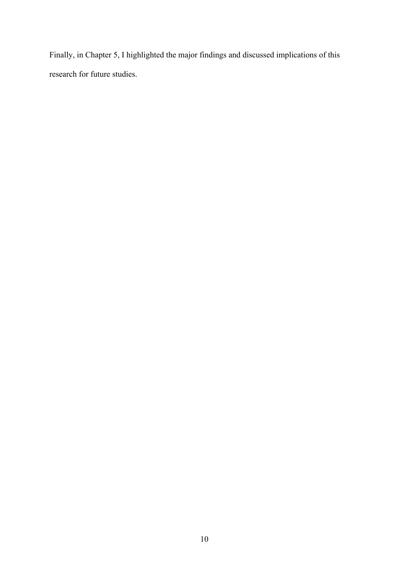Finally, in Chapter 5, I highlighted the major findings and discussed implications of this research for future studies.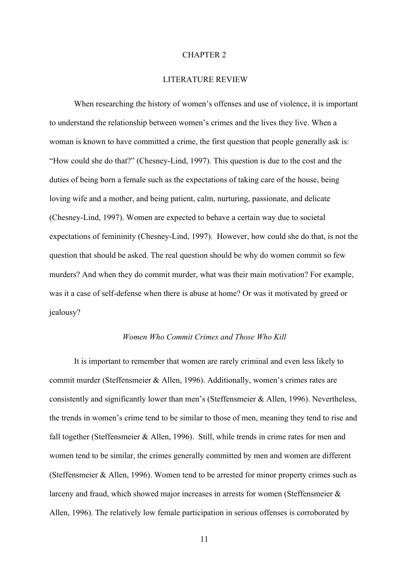#### CHAPTER 2

# LITERATURE REVIEW

When researching the history of women's offenses and use of violence, it is important to understand the relationship between women's crimes and the lives they live. When a woman is known to have committed a crime, the first question that people generally ask is: "How could she do that?" (Chesney-Lind, 1997). This question is due to the cost and the duties of being born a female such as the expectations of taking care of the house, being loving wife and a mother, and being patient, calm, nurturing, passionate, and delicate (Chesney-Lind, 1997). Women are expected to behave a certain way due to societal expectations of femininity (Chesney-Lind, 1997). However, how could she do that, is not the question that should be asked. The real question should be why do women commit so few murders? And when they do commit murder, what was their main motivation? For example, was it a case of self-defense when there is abuse at home? Or was it motivated by greed or iealousy?

#### *Women Who Commit Crimes and Those Who Kill*

It is important to remember that women are rarely criminal and even less likely to commit murder (Steffensmeier & Allen, 1996). Additionally, women's crimes rates are consistently and significantly lower than men's (Steffensmeier & Allen, 1996). Nevertheless, the trends in women's crime tend to be similar to those of men, meaning they tend to rise and fall together (Steffensmeier & Allen, 1996). Still, while trends in crime rates for men and women tend to be similar, the crimes generally committed by men and women are different (Steffensmeier & Allen, 1996). Women tend to be arrested for minor property crimes such as larceny and fraud, which showed major increases in arrests for women (Steffensmeier & Allen, 1996). The relatively low female participation in serious offenses is corroborated by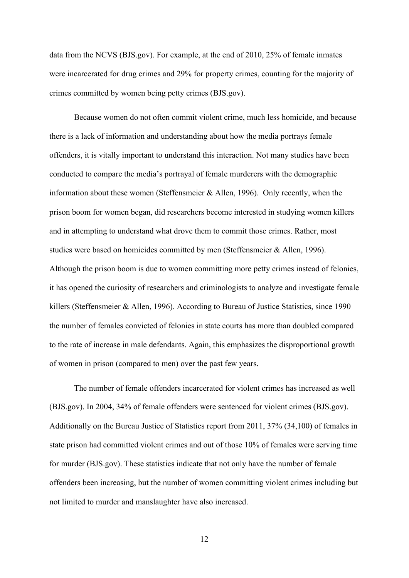data from the NCVS (BJS.gov). For example, at the end of 2010, 25% of female inmates were incarcerated for drug crimes and 29% for property crimes, counting for the majority of crimes committed by women being petty crimes (BJS.gov).

Because women do not often commit violent crime, much less homicide, and because there is a lack of information and understanding about how the media portrays female offenders, it is vitally important to understand this interaction. Not many studies have been conducted to compare the media's portrayal of female murderers with the demographic information about these women (Steffensmeier & Allen, 1996). Only recently, when the prison boom for women began, did researchers become interested in studying women killers and in attempting to understand what drove them to commit those crimes. Rather, most studies were based on homicides committed by men (Steffensmeier & Allen, 1996). Although the prison boom is due to women committing more petty crimes instead of felonies, it has opened the curiosity of researchers and criminologists to analyze and investigate female killers (Steffensmeier & Allen, 1996). According to Bureau of Justice Statistics, since 1990 the number of females convicted of felonies in state courts has more than doubled compared to the rate of increase in male defendants. Again, this emphasizes the disproportional growth of women in prison (compared to men) over the past few years.

The number of female offenders incarcerated for violent crimes has increased as well (BJS.gov). In 2004, 34% of female offenders were sentenced for violent crimes (BJS.gov). Additionally on the Bureau Justice of Statistics report from 2011, 37% (34,100) of females in state prison had committed violent crimes and out of those 10% of females were serving time for murder (BJS.gov). These statistics indicate that not only have the number of female offenders been increasing, but the number of women committing violent crimes including but not limited to murder and manslaughter have also increased.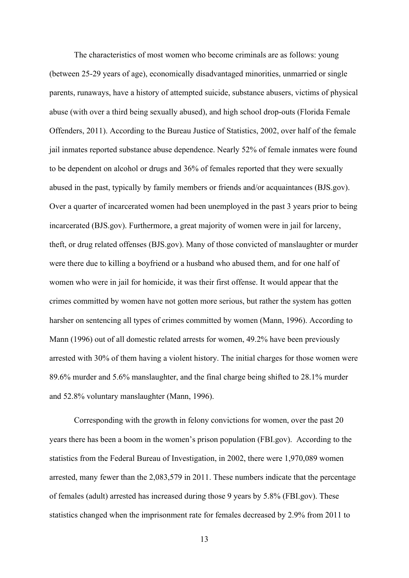The characteristics of most women who become criminals are as follows: young (between 25-29 years of age), economically disadvantaged minorities, unmarried or single parents, runaways, have a history of attempted suicide, substance abusers, victims of physical abuse (with over a third being sexually abused), and high school drop-outs (Florida Female Offenders, 2011). According to the Bureau Justice of Statistics, 2002, over half of the female jail inmates reported substance abuse dependence. Nearly 52% of female inmates were found to be dependent on alcohol or drugs and 36% of females reported that they were sexually abused in the past, typically by family members or friends and/or acquaintances (BJS.gov). Over a quarter of incarcerated women had been unemployed in the past 3 years prior to being incarcerated (BJS.gov). Furthermore, a great majority of women were in jail for larceny, theft, or drug related offenses (BJS.gov). Many of those convicted of manslaughter or murder were there due to killing a boyfriend or a husband who abused them, and for one half of women who were in jail for homicide, it was their first offense. It would appear that the crimes committed by women have not gotten more serious, but rather the system has gotten harsher on sentencing all types of crimes committed by women (Mann, 1996). According to Mann (1996) out of all domestic related arrests for women, 49.2% have been previously arrested with 30% of them having a violent history. The initial charges for those women were 89.6% murder and 5.6% manslaughter, and the final charge being shifted to 28.1% murder and 52.8% voluntary manslaughter (Mann, 1996).

Corresponding with the growth in felony convictions for women, over the past 20 years there has been a boom in the women's prison population (FBI.gov). According to the statistics from the Federal Bureau of Investigation, in 2002, there were 1,970,089 women arrested, many fewer than the 2,083,579 in 2011. These numbers indicate that the percentage of females (adult) arrested has increased during those 9 years by 5.8% (FBI.gov). These statistics changed when the imprisonment rate for females decreased by 2.9% from 2011 to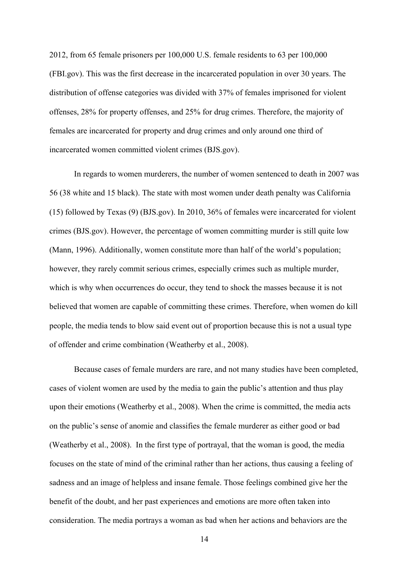2012, from 65 female prisoners per 100,000 U.S. female residents to 63 per 100,000 (FBI.gov). This was the first decrease in the incarcerated population in over 30 years. The distribution of offense categories was divided with 37% of females imprisoned for violent offenses, 28% for property offenses, and 25% for drug crimes. Therefore, the majority of females are incarcerated for property and drug crimes and only around one third of incarcerated women committed violent crimes (BJS.gov).

In regards to women murderers, the number of women sentenced to death in 2007 was 56 (38 white and 15 black). The state with most women under death penalty was California (15) followed by Texas (9) (BJS.gov). In 2010, 36% of females were incarcerated for violent crimes (BJS.gov). However, the percentage of women committing murder is still quite low (Mann, 1996). Additionally, women constitute more than half of the world's population; however, they rarely commit serious crimes, especially crimes such as multiple murder, which is why when occurrences do occur, they tend to shock the masses because it is not believed that women are capable of committing these crimes. Therefore, when women do kill people, the media tends to blow said event out of proportion because this is not a usual type of offender and crime combination (Weatherby et al., 2008).

Because cases of female murders are rare, and not many studies have been completed, cases of violent women are used by the media to gain the public's attention and thus play upon their emotions (Weatherby et al., 2008). When the crime is committed, the media acts on the public's sense of anomie and classifies the female murderer as either good or bad (Weatherby et al., 2008). In the first type of portrayal, that the woman is good, the media focuses on the state of mind of the criminal rather than her actions, thus causing a feeling of sadness and an image of helpless and insane female. Those feelings combined give her the benefit of the doubt, and her past experiences and emotions are more often taken into consideration. The media portrays a woman as bad when her actions and behaviors are the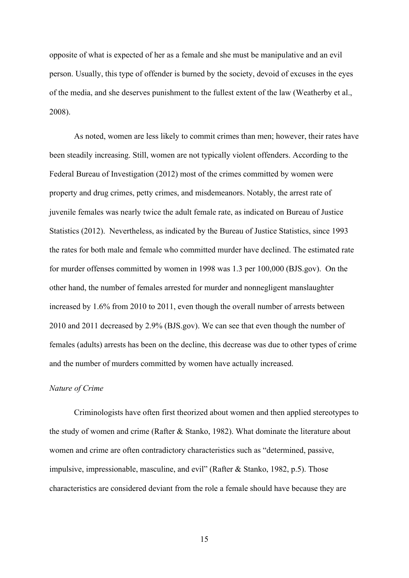opposite of what is expected of her as a female and she must be manipulative and an evil person. Usually, this type of offender is burned by the society, devoid of excuses in the eyes of the media, and she deserves punishment to the fullest extent of the law (Weatherby et al., 2008).

As noted, women are less likely to commit crimes than men; however, their rates have been steadily increasing. Still, women are not typically violent offenders. According to the Federal Bureau of Investigation (2012) most of the crimes committed by women were property and drug crimes, petty crimes, and misdemeanors. Notably, the arrest rate of juvenile females was nearly twice the adult female rate, as indicated on Bureau of Justice Statistics (2012). Nevertheless, as indicated by the Bureau of Justice Statistics, since 1993 the rates for both male and female who committed murder have declined. The estimated rate for murder offenses committed by women in 1998 was 1.3 per 100,000 (BJS.gov). On the other hand, the number of females arrested for murder and nonnegligent manslaughter increased by 1.6% from 2010 to 2011, even though the overall number of arrests between 2010 and 2011 decreased by 2.9% (BJS.gov). We can see that even though the number of females (adults) arrests has been on the decline, this decrease was due to other types of crime and the number of murders committed by women have actually increased.

# *Nature of Crime*

Criminologists have often first theorized about women and then applied stereotypes to the study of women and crime (Rafter & Stanko, 1982). What dominate the literature about women and crime are often contradictory characteristics such as "determined, passive, impulsive, impressionable, masculine, and evil" (Rafter & Stanko, 1982, p.5). Those characteristics are considered deviant from the role a female should have because they are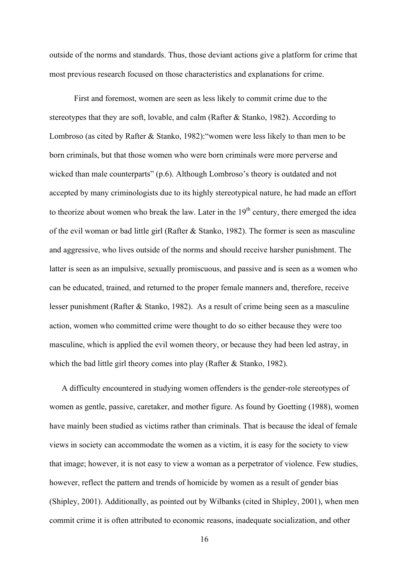outside of the norms and standards. Thus, those deviant actions give a platform for crime that most previous research focused on those characteristics and explanations for crime.

First and foremost, women are seen as less likely to commit crime due to the stereotypes that they are soft, lovable, and calm (Rafter  $\&$  Stanko, 1982). According to Lombroso (as cited by Rafter & Stanko, 1982):"women were less likely to than men to be born criminals, but that those women who were born criminals were more perverse and wicked than male counterparts" (p.6). Although Lombroso's theory is outdated and not accepted by many criminologists due to its highly stereotypical nature, he had made an effort to theorize about women who break the law. Later in the  $19<sup>th</sup>$  century, there emerged the idea of the evil woman or bad little girl (Rafter & Stanko, 1982). The former is seen as masculine and aggressive, who lives outside of the norms and should receive harsher punishment. The latter is seen as an impulsive, sexually promiscuous, and passive and is seen as a women who can be educated, trained, and returned to the proper female manners and, therefore, receive lesser punishment (Rafter & Stanko, 1982). As a result of crime being seen as a masculine action, women who committed crime were thought to do so either because they were too masculine, which is applied the evil women theory, or because they had been led astray, in which the bad little girl theory comes into play (Rafter & Stanko, 1982).

A difficulty encountered in studying women offenders is the gender-role stereotypes of women as gentle, passive, caretaker, and mother figure. As found by Goetting (1988), women have mainly been studied as victims rather than criminals. That is because the ideal of female views in society can accommodate the women as a victim, it is easy for the society to view that image; however, it is not easy to view a woman as a perpetrator of violence. Few studies, however, reflect the pattern and trends of homicide by women as a result of gender bias (Shipley, 2001). Additionally, as pointed out by Wilbanks (cited in Shipley, 2001), when men commit crime it is often attributed to economic reasons, inadequate socialization, and other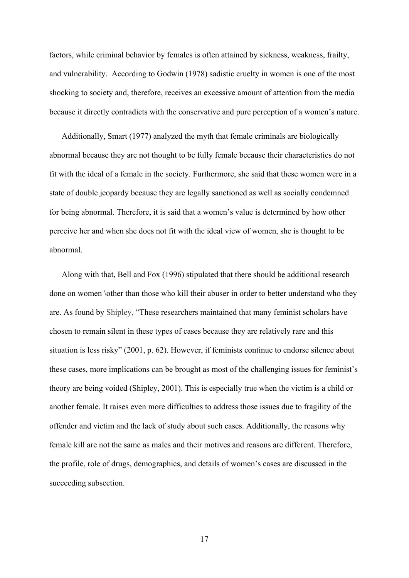factors, while criminal behavior by females is often attained by sickness, weakness, frailty, and vulnerability. According to Godwin (1978) sadistic cruelty in women is one of the most shocking to society and, therefore, receives an excessive amount of attention from the media because it directly contradicts with the conservative and pure perception of a women's nature.

Additionally, Smart (1977) analyzed the myth that female criminals are biologically abnormal because they are not thought to be fully female because their characteristics do not fit with the ideal of a female in the society. Furthermore, she said that these women were in a state of double jeopardy because they are legally sanctioned as well as socially condemned for being abnormal. Therefore, it is said that a women's value is determined by how other perceive her and when she does not fit with the ideal view of women, she is thought to be abnormal.

Along with that, Bell and Fox (1996) stipulated that there should be additional research done on women \other than those who kill their abuser in order to better understand who they are. As found by Shipley, "These researchers maintained that many feminist scholars have chosen to remain silent in these types of cases because they are relatively rare and this situation is less risky" (2001, p. 62). However, if feminists continue to endorse silence about these cases, more implications can be brought as most of the challenging issues for feminist's theory are being voided (Shipley, 2001). This is especially true when the victim is a child or another female. It raises even more difficulties to address those issues due to fragility of the offender and victim and the lack of study about such cases. Additionally, the reasons why female kill are not the same as males and their motives and reasons are different. Therefore, the profile, role of drugs, demographics, and details of women's cases are discussed in the succeeding subsection.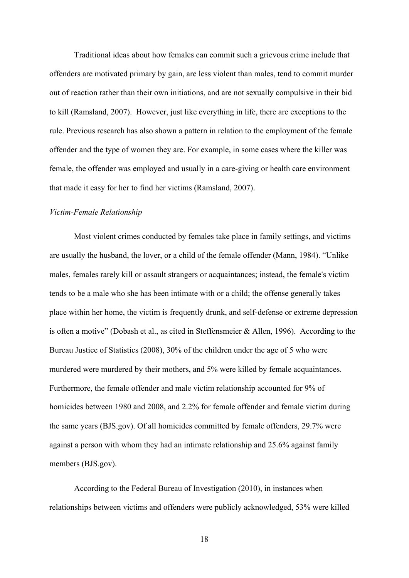Traditional ideas about how females can commit such a grievous crime include that offenders are motivated primary by gain, are less violent than males, tend to commit murder out of reaction rather than their own initiations, and are not sexually compulsive in their bid to kill (Ramsland, 2007). However, just like everything in life, there are exceptions to the rule. Previous research has also shown a pattern in relation to the employment of the female offender and the type of women they are. For example, in some cases where the killer was female, the offender was employed and usually in a care-giving or health care environment that made it easy for her to find her victims (Ramsland, 2007).

### *Victim-Female Relationship*

Most violent crimes conducted by females take place in family settings, and victims are usually the husband, the lover, or a child of the female offender (Mann, 1984). "Unlike males, females rarely kill or assault strangers or acquaintances; instead, the female's victim tends to be a male who she has been intimate with or a child; the offense generally takes place within her home, the victim is frequently drunk, and self-defense or extreme depression is often a motive" (Dobash et al., as cited in Steffensmeier & Allen, 1996). According to the Bureau Justice of Statistics (2008), 30% of the children under the age of 5 who were murdered were murdered by their mothers, and 5% were killed by female acquaintances. Furthermore, the female offender and male victim relationship accounted for 9% of homicides between 1980 and 2008, and 2.2% for female offender and female victim during the same years (BJS.gov). Of all homicides committed by female offenders, 29.7% were against a person with whom they had an intimate relationship and 25.6% against family members (BJS.gov).

According to the Federal Bureau of Investigation (2010), in instances when relationships between victims and offenders were publicly acknowledged, 53% were killed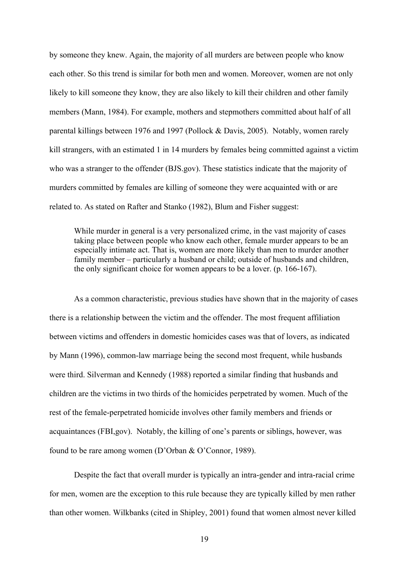by someone they knew. Again, the majority of all murders are between people who know each other. So this trend is similar for both men and women. Moreover, women are not only likely to kill someone they know, they are also likely to kill their children and other family members (Mann, 1984). For example, mothers and stepmothers committed about half of all parental killings between 1976 and 1997 (Pollock & Davis, 2005). Notably, women rarely kill strangers, with an estimated 1 in 14 murders by females being committed against a victim who was a stranger to the offender (BJS.gov). These statistics indicate that the majority of murders committed by females are killing of someone they were acquainted with or are related to. As stated on Rafter and Stanko (1982), Blum and Fisher suggest:

While murder in general is a very personalized crime, in the vast majority of cases taking place between people who know each other, female murder appears to be an especially intimate act. That is, women are more likely than men to murder another family member – particularly a husband or child; outside of husbands and children, the only significant choice for women appears to be a lover. (p. 166-167).

As a common characteristic, previous studies have shown that in the majority of cases there is a relationship between the victim and the offender. The most frequent affiliation between victims and offenders in domestic homicides cases was that of lovers, as indicated by Mann (1996), common-law marriage being the second most frequent, while husbands were third. Silverman and Kennedy (1988) reported a similar finding that husbands and children are the victims in two thirds of the homicides perpetrated by women. Much of the rest of the female-perpetrated homicide involves other family members and friends or acquaintances (FBI,gov). Notably, the killing of one's parents or siblings, however, was found to be rare among women (D'Orban & O'Connor, 1989).

Despite the fact that overall murder is typically an intra-gender and intra-racial crime for men, women are the exception to this rule because they are typically killed by men rather than other women. Wilkbanks (cited in Shipley, 2001) found that women almost never killed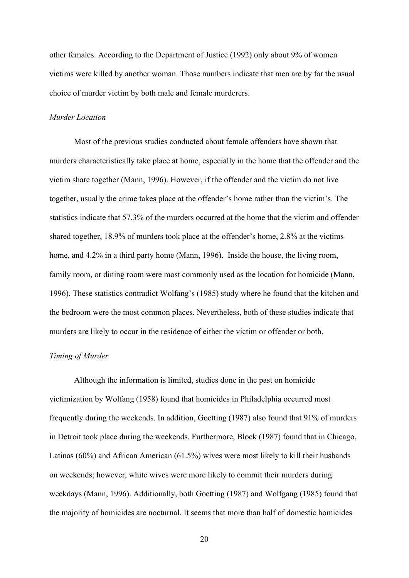other females. According to the Department of Justice (1992) only about 9% of women victims were killed by another woman. Those numbers indicate that men are by far the usual choice of murder victim by both male and female murderers.

# *Murder Location*

Most of the previous studies conducted about female offenders have shown that murders characteristically take place at home, especially in the home that the offender and the victim share together (Mann, 1996). However, if the offender and the victim do not live together, usually the crime takes place at the offender's home rather than the victim's. The statistics indicate that 57.3% of the murders occurred at the home that the victim and offender shared together, 18.9% of murders took place at the offender's home, 2.8% at the victims home, and 4.2% in a third party home (Mann, 1996). Inside the house, the living room, family room, or dining room were most commonly used as the location for homicide (Mann, 1996). These statistics contradict Wolfang's (1985) study where he found that the kitchen and the bedroom were the most common places. Nevertheless, both of these studies indicate that murders are likely to occur in the residence of either the victim or offender or both.

# *Timing of Murder*

Although the information is limited, studies done in the past on homicide victimization by Wolfang (1958) found that homicides in Philadelphia occurred most frequently during the weekends. In addition, Goetting (1987) also found that 91% of murders in Detroit took place during the weekends. Furthermore, Block (1987) found that in Chicago, Latinas (60%) and African American (61.5%) wives were most likely to kill their husbands on weekends; however, white wives were more likely to commit their murders during weekdays (Mann, 1996). Additionally, both Goetting (1987) and Wolfgang (1985) found that the majority of homicides are nocturnal. It seems that more than half of domestic homicides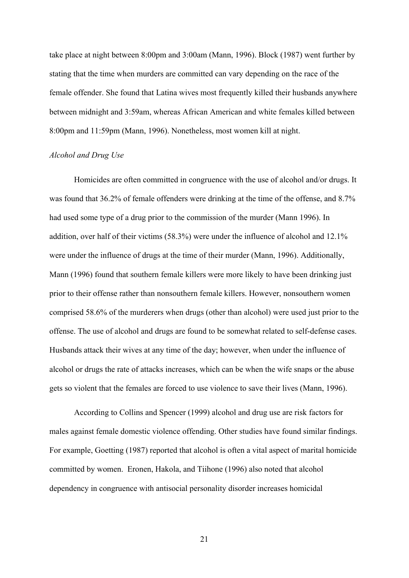take place at night between 8:00pm and 3:00am (Mann, 1996). Block (1987) went further by stating that the time when murders are committed can vary depending on the race of the female offender. She found that Latina wives most frequently killed their husbands anywhere between midnight and 3:59am, whereas African American and white females killed between 8:00pm and 11:59pm (Mann, 1996). Nonetheless, most women kill at night.

#### *Alcohol and Drug Use*

Homicides are often committed in congruence with the use of alcohol and/or drugs. It was found that 36.2% of female offenders were drinking at the time of the offense, and 8.7% had used some type of a drug prior to the commission of the murder (Mann 1996). In addition, over half of their victims (58.3%) were under the influence of alcohol and 12.1% were under the influence of drugs at the time of their murder (Mann, 1996). Additionally, Mann (1996) found that southern female killers were more likely to have been drinking just prior to their offense rather than nonsouthern female killers. However, nonsouthern women comprised 58.6% of the murderers when drugs (other than alcohol) were used just prior to the offense. The use of alcohol and drugs are found to be somewhat related to self-defense cases. Husbands attack their wives at any time of the day; however, when under the influence of alcohol or drugs the rate of attacks increases, which can be when the wife snaps or the abuse gets so violent that the females are forced to use violence to save their lives (Mann, 1996).

According to Collins and Spencer (1999) alcohol and drug use are risk factors for males against female domestic violence offending. Other studies have found similar findings. For example, Goetting (1987) reported that alcohol is often a vital aspect of marital homicide committed by women. Eronen, Hakola, and Tiihone (1996) also noted that alcohol dependency in congruence with antisocial personality disorder increases homicidal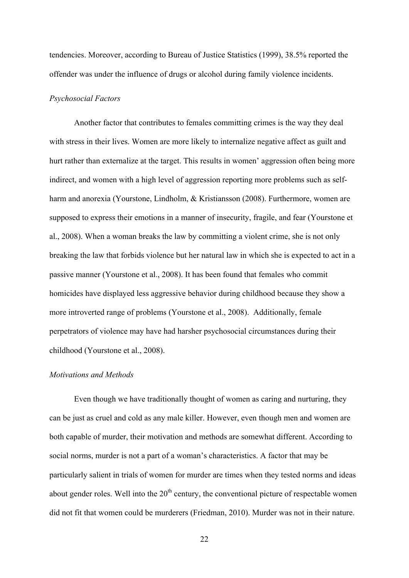tendencies. Moreover, according to Bureau of Justice Statistics (1999), 38.5% reported the offender was under the influence of drugs or alcohol during family violence incidents.

# *Psychosocial Factors*

Another factor that contributes to females committing crimes is the way they deal with stress in their lives. Women are more likely to internalize negative affect as guilt and hurt rather than externalize at the target. This results in women' aggression often being more indirect, and women with a high level of aggression reporting more problems such as selfharm and anorexia (Yourstone, Lindholm, & Kristiansson (2008). Furthermore, women are supposed to express their emotions in a manner of insecurity, fragile, and fear (Yourstone et al., 2008). When a woman breaks the law by committing a violent crime, she is not only breaking the law that forbids violence but her natural law in which she is expected to act in a passive manner (Yourstone et al., 2008). It has been found that females who commit homicides have displayed less aggressive behavior during childhood because they show a more introverted range of problems (Yourstone et al., 2008). Additionally, female perpetrators of violence may have had harsher psychosocial circumstances during their childhood (Yourstone et al., 2008).

# *Motivations and Methods*

Even though we have traditionally thought of women as caring and nurturing, they can be just as cruel and cold as any male killer. However, even though men and women are both capable of murder, their motivation and methods are somewhat different. According to social norms, murder is not a part of a woman's characteristics. A factor that may be particularly salient in trials of women for murder are times when they tested norms and ideas about gender roles. Well into the  $20<sup>th</sup>$  century, the conventional picture of respectable women did not fit that women could be murderers (Friedman, 2010). Murder was not in their nature.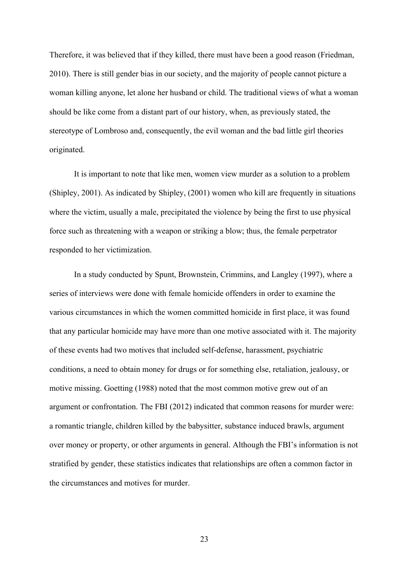Therefore, it was believed that if they killed, there must have been a good reason (Friedman, 2010). There is still gender bias in our society, and the majority of people cannot picture a woman killing anyone, let alone her husband or child. The traditional views of what a woman should be like come from a distant part of our history, when, as previously stated, the stereotype of Lombroso and, consequently, the evil woman and the bad little girl theories originated.

It is important to note that like men, women view murder as a solution to a problem (Shipley, 2001). As indicated by Shipley, (2001) women who kill are frequently in situations where the victim, usually a male, precipitated the violence by being the first to use physical force such as threatening with a weapon or striking a blow; thus, the female perpetrator responded to her victimization.

In a study conducted by Spunt, Brownstein, Crimmins, and Langley (1997), where a series of interviews were done with female homicide offenders in order to examine the various circumstances in which the women committed homicide in first place, it was found that any particular homicide may have more than one motive associated with it. The majority of these events had two motives that included self-defense, harassment, psychiatric conditions, a need to obtain money for drugs or for something else, retaliation, jealousy, or motive missing. Goetting (1988) noted that the most common motive grew out of an argument or confrontation. The FBI (2012) indicated that common reasons for murder were: a romantic triangle, children killed by the babysitter, substance induced brawls, argument over money or property, or other arguments in general. Although the FBI's information is not stratified by gender, these statistics indicates that relationships are often a common factor in the circumstances and motives for murder.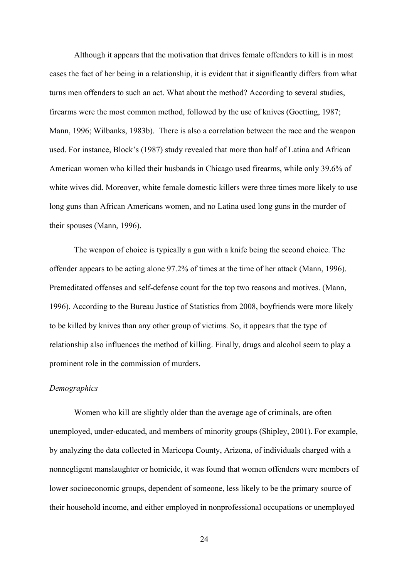Although it appears that the motivation that drives female offenders to kill is in most cases the fact of her being in a relationship, it is evident that it significantly differs from what turns men offenders to such an act. What about the method? According to several studies, firearms were the most common method, followed by the use of knives (Goetting, 1987; Mann, 1996; Wilbanks, 1983b). There is also a correlation between the race and the weapon used. For instance, Block's (1987) study revealed that more than half of Latina and African American women who killed their husbands in Chicago used firearms, while only 39.6% of white wives did. Moreover, white female domestic killers were three times more likely to use long guns than African Americans women, and no Latina used long guns in the murder of their spouses (Mann, 1996).

The weapon of choice is typically a gun with a knife being the second choice. The offender appears to be acting alone 97.2% of times at the time of her attack (Mann, 1996). Premeditated offenses and self-defense count for the top two reasons and motives. (Mann, 1996). According to the Bureau Justice of Statistics from 2008, boyfriends were more likely to be killed by knives than any other group of victims. So, it appears that the type of relationship also influences the method of killing. Finally, drugs and alcohol seem to play a prominent role in the commission of murders.

# *Demographics*

Women who kill are slightly older than the average age of criminals, are often unemployed, under-educated, and members of minority groups (Shipley, 2001). For example, by analyzing the data collected in Maricopa County, Arizona, of individuals charged with a nonnegligent manslaughter or homicide, it was found that women offenders were members of lower socioeconomic groups, dependent of someone, less likely to be the primary source of their household income, and either employed in nonprofessional occupations or unemployed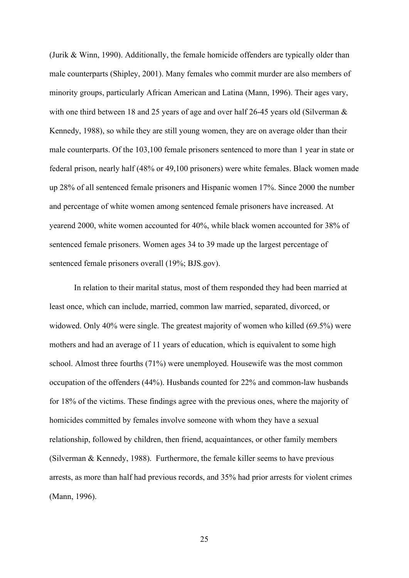(Jurik & Winn, 1990). Additionally, the female homicide offenders are typically older than male counterparts (Shipley, 2001). Many females who commit murder are also members of minority groups, particularly African American and Latina (Mann, 1996). Their ages vary, with one third between 18 and 25 years of age and over half 26-45 years old (Silverman  $\&$ Kennedy, 1988), so while they are still young women, they are on average older than their male counterparts. Of the 103,100 female prisoners sentenced to more than 1 year in state or federal prison, nearly half (48% or 49,100 prisoners) were white females. Black women made up 28% of all sentenced female prisoners and Hispanic women 17%. Since 2000 the number and percentage of white women among sentenced female prisoners have increased. At yearend 2000, white women accounted for 40%, while black women accounted for 38% of sentenced female prisoners. Women ages 34 to 39 made up the largest percentage of sentenced female prisoners overall (19%; BJS.gov).

In relation to their marital status, most of them responded they had been married at least once, which can include, married, common law married, separated, divorced, or widowed. Only 40% were single. The greatest majority of women who killed (69.5%) were mothers and had an average of 11 years of education, which is equivalent to some high school. Almost three fourths (71%) were unemployed. Housewife was the most common occupation of the offenders (44%). Husbands counted for 22% and common-law husbands for 18% of the victims. These findings agree with the previous ones, where the majority of homicides committed by females involve someone with whom they have a sexual relationship, followed by children, then friend, acquaintances, or other family members (Silverman & Kennedy, 1988). Furthermore, the female killer seems to have previous arrests, as more than half had previous records, and 35% had prior arrests for violent crimes (Mann, 1996).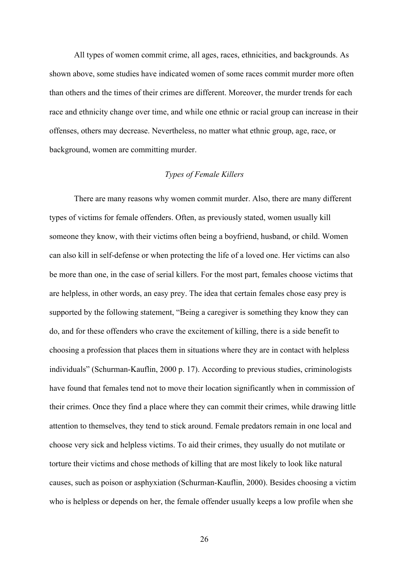All types of women commit crime, all ages, races, ethnicities, and backgrounds. As shown above, some studies have indicated women of some races commit murder more often than others and the times of their crimes are different. Moreover, the murder trends for each race and ethnicity change over time, and while one ethnic or racial group can increase in their offenses, others may decrease. Nevertheless, no matter what ethnic group, age, race, or background, women are committing murder.

## *Types of Female Killers*

There are many reasons why women commit murder. Also, there are many different types of victims for female offenders. Often, as previously stated, women usually kill someone they know, with their victims often being a boyfriend, husband, or child. Women can also kill in self-defense or when protecting the life of a loved one. Her victims can also be more than one, in the case of serial killers. For the most part, females choose victims that are helpless, in other words, an easy prey. The idea that certain females chose easy prey is supported by the following statement, "Being a caregiver is something they know they can do, and for these offenders who crave the excitement of killing, there is a side benefit to choosing a profession that places them in situations where they are in contact with helpless individuals" (Schurman-Kauflin, 2000 p. 17). According to previous studies, criminologists have found that females tend not to move their location significantly when in commission of their crimes. Once they find a place where they can commit their crimes, while drawing little attention to themselves, they tend to stick around. Female predators remain in one local and choose very sick and helpless victims. To aid their crimes, they usually do not mutilate or torture their victims and chose methods of killing that are most likely to look like natural causes, such as poison or asphyxiation (Schurman-Kauflin, 2000). Besides choosing a victim who is helpless or depends on her, the female offender usually keeps a low profile when she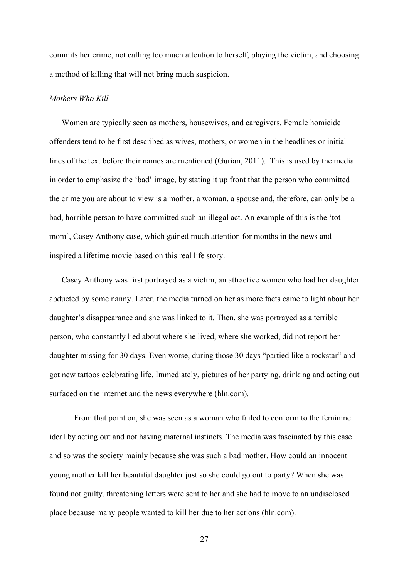commits her crime, not calling too much attention to herself, playing the victim, and choosing a method of killing that will not bring much suspicion.

#### *Mothers Who Kill*

Women are typically seen as mothers, housewives, and caregivers. Female homicide offenders tend to be first described as wives, mothers, or women in the headlines or initial lines of the text before their names are mentioned (Gurian, 2011). This is used by the media in order to emphasize the 'bad' image, by stating it up front that the person who committed the crime you are about to view is a mother, a woman, a spouse and, therefore, can only be a bad, horrible person to have committed such an illegal act. An example of this is the 'tot mom', Casey Anthony case, which gained much attention for months in the news and inspired a lifetime movie based on this real life story.

Casey Anthony was first portrayed as a victim, an attractive women who had her daughter abducted by some nanny. Later, the media turned on her as more facts came to light about her daughter's disappearance and she was linked to it. Then, she was portrayed as a terrible person, who constantly lied about where she lived, where she worked, did not report her daughter missing for 30 days. Even worse, during those 30 days "partied like a rockstar" and got new tattoos celebrating life. Immediately, pictures of her partying, drinking and acting out surfaced on the internet and the news everywhere (hln.com).

From that point on, she was seen as a woman who failed to conform to the feminine ideal by acting out and not having maternal instincts. The media was fascinated by this case and so was the society mainly because she was such a bad mother. How could an innocent young mother kill her beautiful daughter just so she could go out to party? When she was found not guilty, threatening letters were sent to her and she had to move to an undisclosed place because many people wanted to kill her due to her actions (hln.com).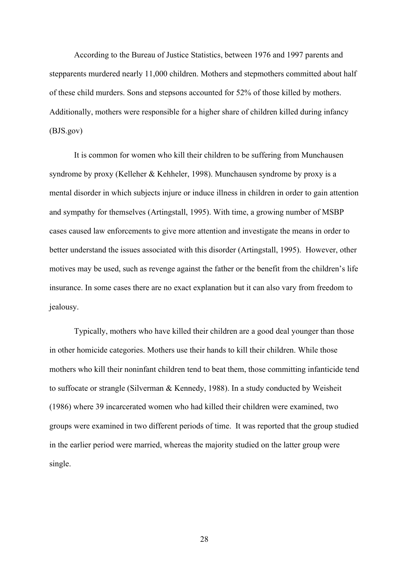According to the Bureau of Justice Statistics, between 1976 and 1997 parents and stepparents murdered nearly 11,000 children. Mothers and stepmothers committed about half of these child murders. Sons and stepsons accounted for 52% of those killed by mothers. Additionally, mothers were responsible for a higher share of children killed during infancy (BJS.gov)

It is common for women who kill their children to be suffering from Munchausen syndrome by proxy (Kelleher & Kehheler, 1998). Munchausen syndrome by proxy is a mental disorder in which subjects injure or induce illness in children in order to gain attention and sympathy for themselves (Artingstall, 1995). With time, a growing number of MSBP cases caused law enforcements to give more attention and investigate the means in order to better understand the issues associated with this disorder (Artingstall, 1995). However, other motives may be used, such as revenge against the father or the benefit from the children's life insurance. In some cases there are no exact explanation but it can also vary from freedom to jealousy.

Typically, mothers who have killed their children are a good deal younger than those in other homicide categories. Mothers use their hands to kill their children. While those mothers who kill their noninfant children tend to beat them, those committing infanticide tend to suffocate or strangle (Silverman & Kennedy, 1988). In a study conducted by Weisheit (1986) where 39 incarcerated women who had killed their children were examined, two groups were examined in two different periods of time. It was reported that the group studied in the earlier period were married, whereas the majority studied on the latter group were single.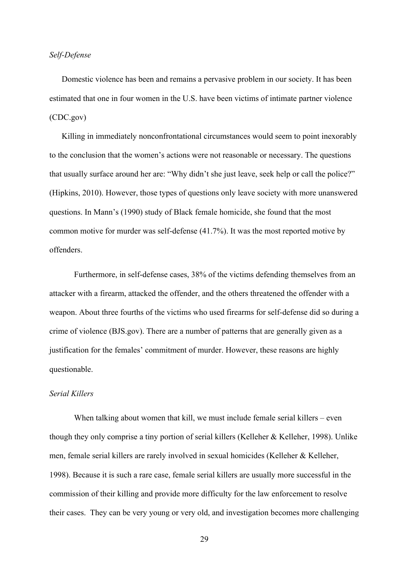# *Self-Defense*

Domestic violence has been and remains a pervasive problem in our society. It has been estimated that one in four women in the U.S. have been victims of intimate partner violence (CDC.gov)

Killing in immediately nonconfrontational circumstances would seem to point inexorably to the conclusion that the women's actions were not reasonable or necessary. The questions that usually surface around her are: "Why didn't she just leave, seek help or call the police?" (Hipkins, 2010). However, those types of questions only leave society with more unanswered questions. In Mann's (1990) study of Black female homicide, she found that the most common motive for murder was self-defense (41.7%). It was the most reported motive by offenders.

Furthermore, in self-defense cases, 38% of the victims defending themselves from an attacker with a firearm, attacked the offender, and the others threatened the offender with a weapon. About three fourths of the victims who used firearms for self-defense did so during a crime of violence (BJS.gov). There are a number of patterns that are generally given as a justification for the females' commitment of murder. However, these reasons are highly questionable.

## *Serial Killers*

When talking about women that kill, we must include female serial killers – even though they only comprise a tiny portion of serial killers (Kelleher & Kelleher, 1998). Unlike men, female serial killers are rarely involved in sexual homicides (Kelleher & Kelleher, 1998). Because it is such a rare case, female serial killers are usually more successful in the commission of their killing and provide more difficulty for the law enforcement to resolve their cases. They can be very young or very old, and investigation becomes more challenging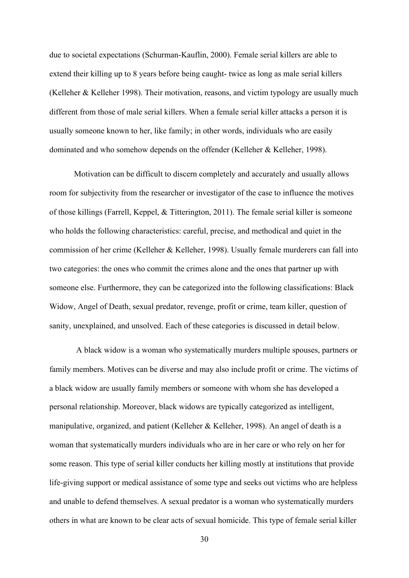due to societal expectations (Schurman-Kauflin, 2000). Female serial killers are able to extend their killing up to 8 years before being caught- twice as long as male serial killers (Kelleher & Kelleher 1998). Their motivation, reasons, and victim typology are usually much different from those of male serial killers. When a female serial killer attacks a person it is usually someone known to her, like family; in other words, individuals who are easily dominated and who somehow depends on the offender (Kelleher & Kelleher, 1998).

Motivation can be difficult to discern completely and accurately and usually allows room for subjectivity from the researcher or investigator of the case to influence the motives of those killings (Farrell, Keppel, & Titterington, 2011). The female serial killer is someone who holds the following characteristics: careful, precise, and methodical and quiet in the commission of her crime (Kelleher & Kelleher, 1998). Usually female murderers can fall into two categories: the ones who commit the crimes alone and the ones that partner up with someone else. Furthermore, they can be categorized into the following classifications: Black Widow, Angel of Death, sexual predator, revenge, profit or crime, team killer, question of sanity, unexplained, and unsolved. Each of these categories is discussed in detail below.

A black widow is a woman who systematically murders multiple spouses, partners or family members. Motives can be diverse and may also include profit or crime. The victims of a black widow are usually family members or someone with whom she has developed a personal relationship. Moreover, black widows are typically categorized as intelligent, manipulative, organized, and patient (Kelleher & Kelleher, 1998). An angel of death is a woman that systematically murders individuals who are in her care or who rely on her for some reason. This type of serial killer conducts her killing mostly at institutions that provide life-giving support or medical assistance of some type and seeks out victims who are helpless and unable to defend themselves. A sexual predator is a woman who systematically murders others in what are known to be clear acts of sexual homicide. This type of female serial killer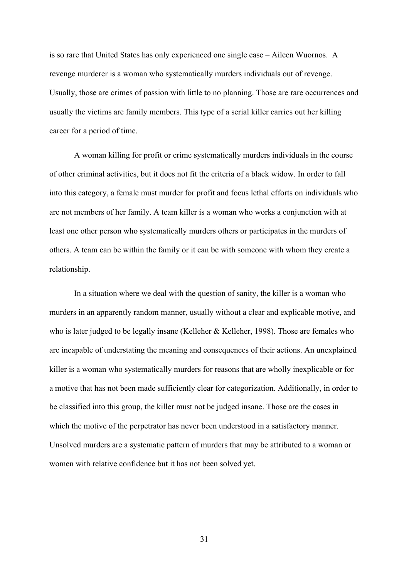is so rare that United States has only experienced one single case – Aileen Wuornos. A revenge murderer is a woman who systematically murders individuals out of revenge. Usually, those are crimes of passion with little to no planning. Those are rare occurrences and usually the victims are family members. This type of a serial killer carries out her killing career for a period of time.

A woman killing for profit or crime systematically murders individuals in the course of other criminal activities, but it does not fit the criteria of a black widow. In order to fall into this category, a female must murder for profit and focus lethal efforts on individuals who are not members of her family. A team killer is a woman who works a conjunction with at least one other person who systematically murders others or participates in the murders of others. A team can be within the family or it can be with someone with whom they create a relationship.

In a situation where we deal with the question of sanity, the killer is a woman who murders in an apparently random manner, usually without a clear and explicable motive, and who is later judged to be legally insane (Kelleher & Kelleher, 1998). Those are females who are incapable of understating the meaning and consequences of their actions. An unexplained killer is a woman who systematically murders for reasons that are wholly inexplicable or for a motive that has not been made sufficiently clear for categorization. Additionally, in order to be classified into this group, the killer must not be judged insane. Those are the cases in which the motive of the perpetrator has never been understood in a satisfactory manner. Unsolved murders are a systematic pattern of murders that may be attributed to a woman or women with relative confidence but it has not been solved yet.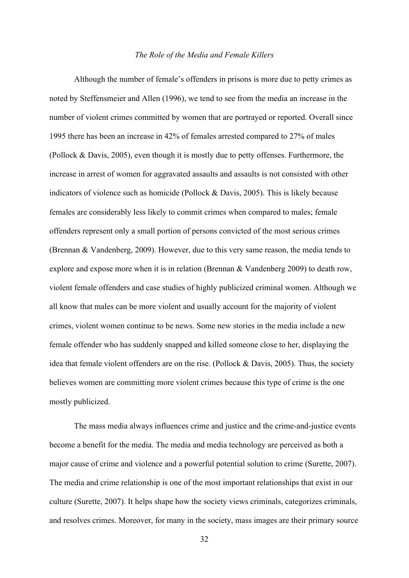### *The Role of the Media and Female Killers*

Although the number of female's offenders in prisons is more due to petty crimes as noted by Steffensmeier and Allen (1996), we tend to see from the media an increase in the number of violent crimes committed by women that are portrayed or reported. Overall since 1995 there has been an increase in 42% of females arrested compared to 27% of males (Pollock & Davis, 2005), even though it is mostly due to petty offenses. Furthermore, the increase in arrest of women for aggravated assaults and assaults is not consisted with other indicators of violence such as homicide (Pollock & Davis, 2005). This is likely because females are considerably less likely to commit crimes when compared to males; female offenders represent only a small portion of persons convicted of the most serious crimes (Brennan & Vandenberg, 2009). However, due to this very same reason, the media tends to explore and expose more when it is in relation (Brennan & Vandenberg 2009) to death row, violent female offenders and case studies of highly publicized criminal women. Although we all know that males can be more violent and usually account for the majority of violent crimes, violent women continue to be news. Some new stories in the media include a new female offender who has suddenly snapped and killed someone close to her, displaying the idea that female violent offenders are on the rise. (Pollock & Davis, 2005). Thus, the society believes women are committing more violent crimes because this type of crime is the one mostly publicized.

The mass media always influences crime and justice and the crime-and-justice events become a benefit for the media. The media and media technology are perceived as both a major cause of crime and violence and a powerful potential solution to crime (Surette, 2007). The media and crime relationship is one of the most important relationships that exist in our culture (Surette, 2007). It helps shape how the society views criminals, categorizes criminals, and resolves crimes. Moreover, for many in the society, mass images are their primary source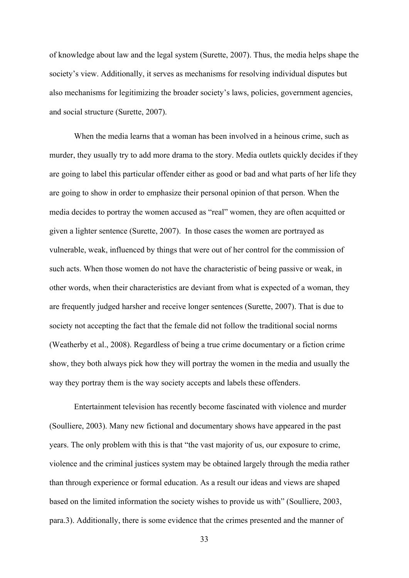of knowledge about law and the legal system (Surette, 2007). Thus, the media helps shape the society's view. Additionally, it serves as mechanisms for resolving individual disputes but also mechanisms for legitimizing the broader society's laws, policies, government agencies, and social structure (Surette, 2007).

When the media learns that a woman has been involved in a heinous crime, such as murder, they usually try to add more drama to the story. Media outlets quickly decides if they are going to label this particular offender either as good or bad and what parts of her life they are going to show in order to emphasize their personal opinion of that person. When the media decides to portray the women accused as "real" women, they are often acquitted or given a lighter sentence (Surette, 2007). In those cases the women are portrayed as vulnerable, weak, influenced by things that were out of her control for the commission of such acts. When those women do not have the characteristic of being passive or weak, in other words, when their characteristics are deviant from what is expected of a woman, they are frequently judged harsher and receive longer sentences (Surette, 2007). That is due to society not accepting the fact that the female did not follow the traditional social norms (Weatherby et al., 2008). Regardless of being a true crime documentary or a fiction crime show, they both always pick how they will portray the women in the media and usually the way they portray them is the way society accepts and labels these offenders.

Entertainment television has recently become fascinated with violence and murder (Soulliere, 2003). Many new fictional and documentary shows have appeared in the past years. The only problem with this is that "the vast majority of us, our exposure to crime, violence and the criminal justices system may be obtained largely through the media rather than through experience or formal education. As a result our ideas and views are shaped based on the limited information the society wishes to provide us with" (Soulliere, 2003, para.3). Additionally, there is some evidence that the crimes presented and the manner of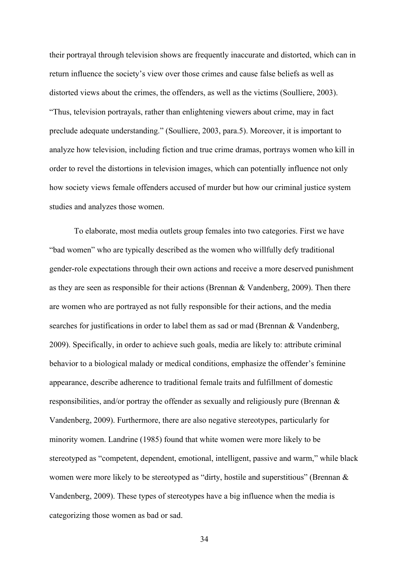their portrayal through television shows are frequently inaccurate and distorted, which can in return influence the society's view over those crimes and cause false beliefs as well as distorted views about the crimes, the offenders, as well as the victims (Soulliere, 2003). "Thus, television portrayals, rather than enlightening viewers about crime, may in fact preclude adequate understanding." (Soulliere, 2003, para.5). Moreover, it is important to analyze how television, including fiction and true crime dramas, portrays women who kill in order to revel the distortions in television images, which can potentially influence not only how society views female offenders accused of murder but how our criminal justice system studies and analyzes those women.

To elaborate, most media outlets group females into two categories. First we have "bad women" who are typically described as the women who willfully defy traditional gender-role expectations through their own actions and receive a more deserved punishment as they are seen as responsible for their actions (Brennan & Vandenberg, 2009). Then there are women who are portrayed as not fully responsible for their actions, and the media searches for justifications in order to label them as sad or mad (Brennan & Vandenberg, 2009). Specifically, in order to achieve such goals, media are likely to: attribute criminal behavior to a biological malady or medical conditions, emphasize the offender's feminine appearance, describe adherence to traditional female traits and fulfillment of domestic responsibilities, and/or portray the offender as sexually and religiously pure (Brennan & Vandenberg, 2009). Furthermore, there are also negative stereotypes, particularly for minority women. Landrine (1985) found that white women were more likely to be stereotyped as "competent, dependent, emotional, intelligent, passive and warm," while black women were more likely to be stereotyped as "dirty, hostile and superstitious" (Brennan & Vandenberg, 2009). These types of stereotypes have a big influence when the media is categorizing those women as bad or sad.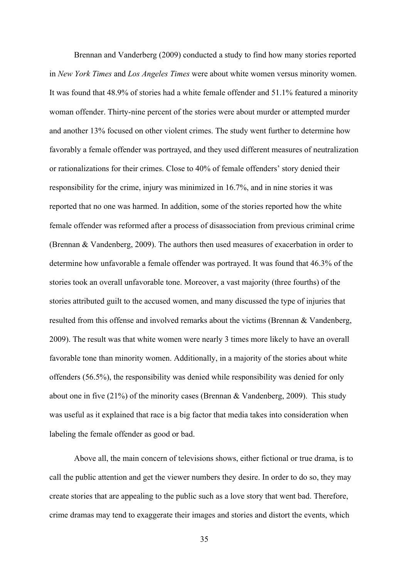Brennan and Vanderberg (2009) conducted a study to find how many stories reported in *New York Times* and *Los Angeles Times* were about white women versus minority women. It was found that 48.9% of stories had a white female offender and 51.1% featured a minority woman offender. Thirty-nine percent of the stories were about murder or attempted murder and another 13% focused on other violent crimes. The study went further to determine how favorably a female offender was portrayed, and they used different measures of neutralization or rationalizations for their crimes. Close to 40% of female offenders' story denied their responsibility for the crime, injury was minimized in 16.7%, and in nine stories it was reported that no one was harmed. In addition, some of the stories reported how the white female offender was reformed after a process of disassociation from previous criminal crime (Brennan & Vandenberg, 2009). The authors then used measures of exacerbation in order to determine how unfavorable a female offender was portrayed. It was found that 46.3% of the stories took an overall unfavorable tone. Moreover, a vast majority (three fourths) of the stories attributed guilt to the accused women, and many discussed the type of injuries that resulted from this offense and involved remarks about the victims (Brennan & Vandenberg, 2009). The result was that white women were nearly 3 times more likely to have an overall favorable tone than minority women. Additionally, in a majority of the stories about white offenders (56.5%), the responsibility was denied while responsibility was denied for only about one in five (21%) of the minority cases (Brennan & Vandenberg, 2009). This study was useful as it explained that race is a big factor that media takes into consideration when labeling the female offender as good or bad.

Above all, the main concern of televisions shows, either fictional or true drama, is to call the public attention and get the viewer numbers they desire. In order to do so, they may create stories that are appealing to the public such as a love story that went bad. Therefore, crime dramas may tend to exaggerate their images and stories and distort the events, which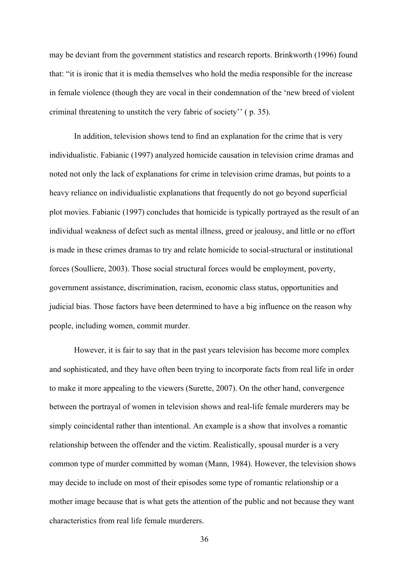may be deviant from the government statistics and research reports. Brinkworth (1996) found that: "it is ironic that it is media themselves who hold the media responsible for the increase in female violence (though they are vocal in their condemnation of the 'new breed of violent criminal threatening to unstitch the very fabric of society'' ( p. 35).

In addition, television shows tend to find an explanation for the crime that is very individualistic. Fabianic (1997) analyzed homicide causation in television crime dramas and noted not only the lack of explanations for crime in television crime dramas, but points to a heavy reliance on individualistic explanations that frequently do not go beyond superficial plot movies. Fabianic (1997) concludes that homicide is typically portrayed as the result of an individual weakness of defect such as mental illness, greed or jealousy, and little or no effort is made in these crimes dramas to try and relate homicide to social-structural or institutional forces (Soulliere, 2003). Those social structural forces would be employment, poverty, government assistance, discrimination, racism, economic class status, opportunities and judicial bias. Those factors have been determined to have a big influence on the reason why people, including women, commit murder.

However, it is fair to say that in the past years television has become more complex and sophisticated, and they have often been trying to incorporate facts from real life in order to make it more appealing to the viewers (Surette, 2007). On the other hand, convergence between the portrayal of women in television shows and real-life female murderers may be simply coincidental rather than intentional. An example is a show that involves a romantic relationship between the offender and the victim. Realistically, spousal murder is a very common type of murder committed by woman (Mann, 1984). However, the television shows may decide to include on most of their episodes some type of romantic relationship or a mother image because that is what gets the attention of the public and not because they want characteristics from real life female murderers.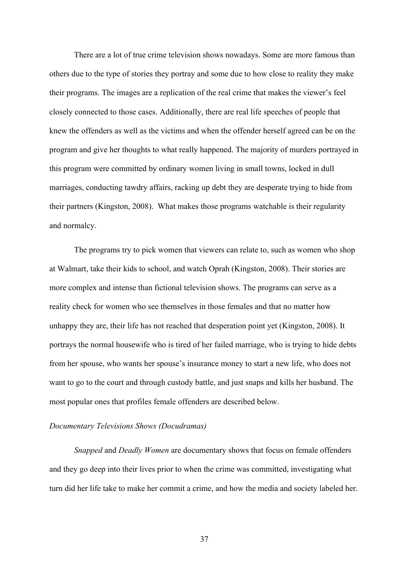There are a lot of true crime television shows nowadays. Some are more famous than others due to the type of stories they portray and some due to how close to reality they make their programs. The images are a replication of the real crime that makes the viewer's feel closely connected to those cases. Additionally, there are real life speeches of people that knew the offenders as well as the victims and when the offender herself agreed can be on the program and give her thoughts to what really happened. The majority of murders portrayed in this program were committed by ordinary women living in small towns, locked in dull marriages, conducting tawdry affairs, racking up debt they are desperate trying to hide from their partners (Kingston, 2008). What makes those programs watchable is their regularity and normalcy.

The programs try to pick women that viewers can relate to, such as women who shop at Walmart, take their kids to school, and watch Oprah (Kingston, 2008). Their stories are more complex and intense than fictional television shows. The programs can serve as a reality check for women who see themselves in those females and that no matter how unhappy they are, their life has not reached that desperation point yet (Kingston, 2008). It portrays the normal housewife who is tired of her failed marriage, who is trying to hide debts from her spouse, who wants her spouse's insurance money to start a new life, who does not want to go to the court and through custody battle, and just snaps and kills her husband. The most popular ones that profiles female offenders are described below.

## *Documentary Televisions Shows (Docudramas)*

*Snapped* and *Deadly Women* are documentary shows that focus on female offenders and they go deep into their lives prior to when the crime was committed, investigating what turn did her life take to make her commit a crime, and how the media and society labeled her.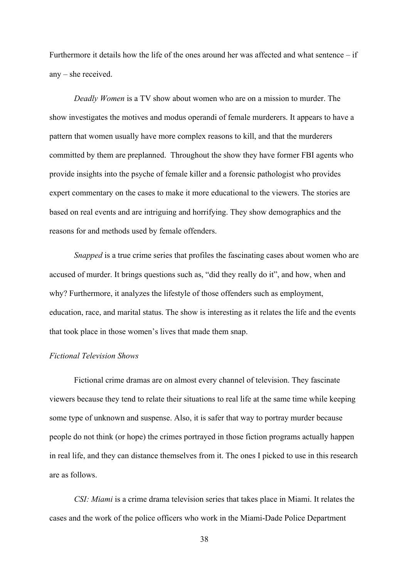Furthermore it details how the life of the ones around her was affected and what sentence – if any – she received.

*Deadly Women* is a TV show about women who are on a mission to murder. The show investigates the motives and modus operandi of female murderers. It appears to have a pattern that women usually have more complex reasons to kill, and that the murderers committed by them are preplanned. Throughout the show they have former FBI agents who provide insights into the psyche of female killer and a forensic pathologist who provides expert commentary on the cases to make it more educational to the viewers. The stories are based on real events and are intriguing and horrifying. They show demographics and the reasons for and methods used by female offenders.

*Snapped* is a true crime series that profiles the fascinating cases about women who are accused of murder. It brings questions such as, "did they really do it", and how, when and why? Furthermore, it analyzes the lifestyle of those offenders such as employment, education, race, and marital status. The show is interesting as it relates the life and the events that took place in those women's lives that made them snap.

#### *Fictional Television Shows*

Fictional crime dramas are on almost every channel of television. They fascinate viewers because they tend to relate their situations to real life at the same time while keeping some type of unknown and suspense. Also, it is safer that way to portray murder because people do not think (or hope) the crimes portrayed in those fiction programs actually happen in real life, and they can distance themselves from it. The ones I picked to use in this research are as follows.

*CSI: Miami* is a crime drama television series that takes place in Miami. It relates the cases and the work of the police officers who work in the Miami-Dade Police Department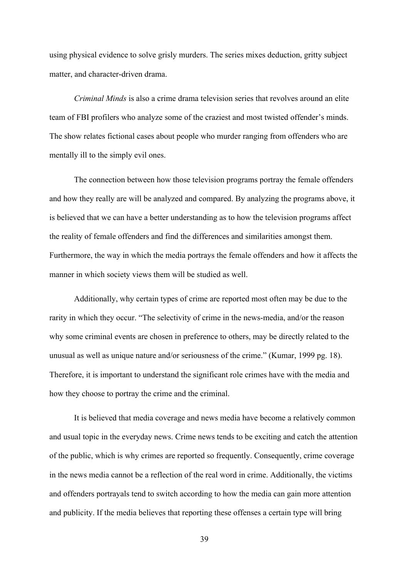using physical evidence to solve grisly murders. The series mixes deduction, gritty subject matter, and character-driven drama.

*Criminal Minds* is also a crime drama television series that revolves around an elite team of FBI profilers who analyze some of the craziest and most twisted offender's minds. The show relates fictional cases about people who murder ranging from offenders who are mentally ill to the simply evil ones.

The connection between how those television programs portray the female offenders and how they really are will be analyzed and compared. By analyzing the programs above, it is believed that we can have a better understanding as to how the television programs affect the reality of female offenders and find the differences and similarities amongst them. Furthermore, the way in which the media portrays the female offenders and how it affects the manner in which society views them will be studied as well.

Additionally, why certain types of crime are reported most often may be due to the rarity in which they occur. "The selectivity of crime in the news-media, and/or the reason why some criminal events are chosen in preference to others, may be directly related to the unusual as well as unique nature and/or seriousness of the crime." (Kumar, 1999 pg. 18). Therefore, it is important to understand the significant role crimes have with the media and how they choose to portray the crime and the criminal.

It is believed that media coverage and news media have become a relatively common and usual topic in the everyday news. Crime news tends to be exciting and catch the attention of the public, which is why crimes are reported so frequently. Consequently, crime coverage in the news media cannot be a reflection of the real word in crime. Additionally, the victims and offenders portrayals tend to switch according to how the media can gain more attention and publicity. If the media believes that reporting these offenses a certain type will bring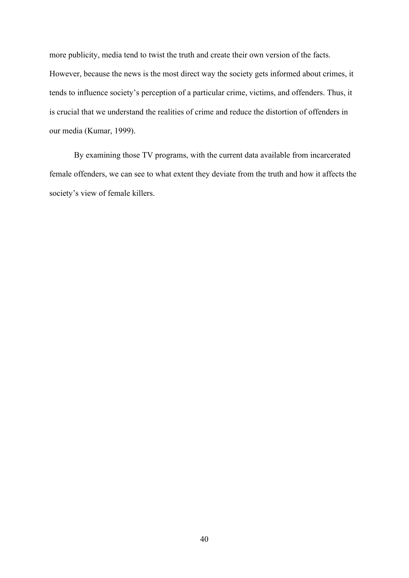more publicity, media tend to twist the truth and create their own version of the facts. However, because the news is the most direct way the society gets informed about crimes, it tends to influence society's perception of a particular crime, victims, and offenders. Thus, it is crucial that we understand the realities of crime and reduce the distortion of offenders in our media (Kumar, 1999).

By examining those TV programs, with the current data available from incarcerated female offenders, we can see to what extent they deviate from the truth and how it affects the society's view of female killers.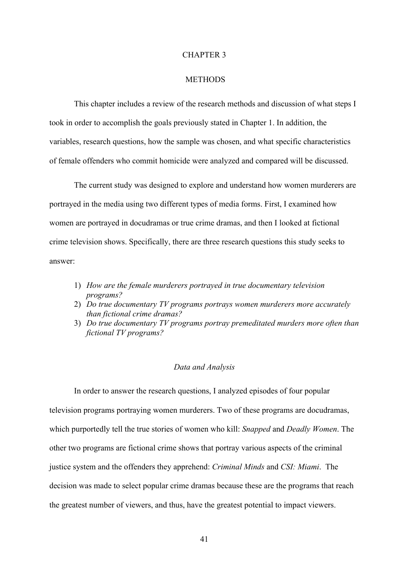#### CHAPTER 3

#### **METHODS**

This chapter includes a review of the research methods and discussion of what steps I took in order to accomplish the goals previously stated in Chapter 1. In addition, the variables, research questions, how the sample was chosen, and what specific characteristics of female offenders who commit homicide were analyzed and compared will be discussed.

The current study was designed to explore and understand how women murderers are portrayed in the media using two different types of media forms. First, I examined how women are portrayed in docudramas or true crime dramas, and then I looked at fictional crime television shows. Specifically, there are three research questions this study seeks to answer:

- 1) *How are the female murderers portrayed in true documentary television programs?*
- 2) *Do true documentary TV programs portrays women murderers more accurately than fictional crime dramas?*
- 3) *Do true documentary TV programs portray premeditated murders more often than fictional TV programs?*

#### *Data and Analysis*

In order to answer the research questions, I analyzed episodes of four popular television programs portraying women murderers. Two of these programs are docudramas, which purportedly tell the true stories of women who kill: *Snapped* and *Deadly Women*. The other two programs are fictional crime shows that portray various aspects of the criminal justice system and the offenders they apprehend: *Criminal Minds* and *CSI: Miami*. The decision was made to select popular crime dramas because these are the programs that reach the greatest number of viewers, and thus, have the greatest potential to impact viewers.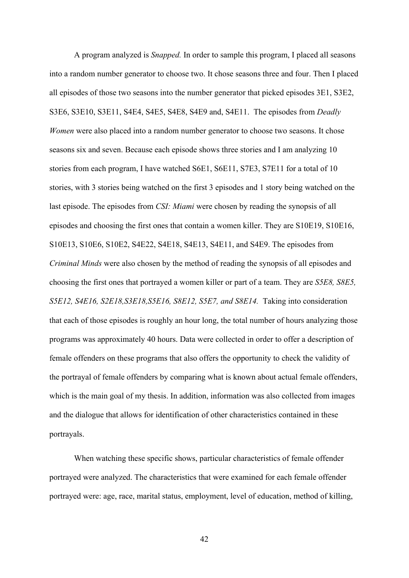A program analyzed is *Snapped.* In order to sample this program, I placed all seasons into a random number generator to choose two. It chose seasons three and four. Then I placed all episodes of those two seasons into the number generator that picked episodes 3E1, S3E2, S3E6, S3E10, S3E11, S4E4, S4E5, S4E8, S4E9 and, S4E11. The episodes from *Deadly Women* were also placed into a random number generator to choose two seasons. It chose seasons six and seven. Because each episode shows three stories and I am analyzing 10 stories from each program, I have watched S6E1, S6E11, S7E3, S7E11 for a total of 10 stories, with 3 stories being watched on the first 3 episodes and 1 story being watched on the last episode. The episodes from *CSI: Miami* were chosen by reading the synopsis of all episodes and choosing the first ones that contain a women killer. They are S10E19, S10E16, S10E13, S10E6, S10E2, S4E22, S4E18, S4E13, S4E11, and S4E9. The episodes from *Criminal Minds* were also chosen by the method of reading the synopsis of all episodes and choosing the first ones that portrayed a women killer or part of a team. They are *S5E8, S8E5, S5E12, S4E16, S2E18,S3E18,S5E16, S8E12, S5E7, and S8E14.* Taking into consideration that each of those episodes is roughly an hour long, the total number of hours analyzing those programs was approximately 40 hours. Data were collected in order to offer a description of female offenders on these programs that also offers the opportunity to check the validity of the portrayal of female offenders by comparing what is known about actual female offenders, which is the main goal of my thesis. In addition, information was also collected from images and the dialogue that allows for identification of other characteristics contained in these portrayals.

When watching these specific shows, particular characteristics of female offender portrayed were analyzed. The characteristics that were examined for each female offender portrayed were: age, race, marital status, employment, level of education, method of killing,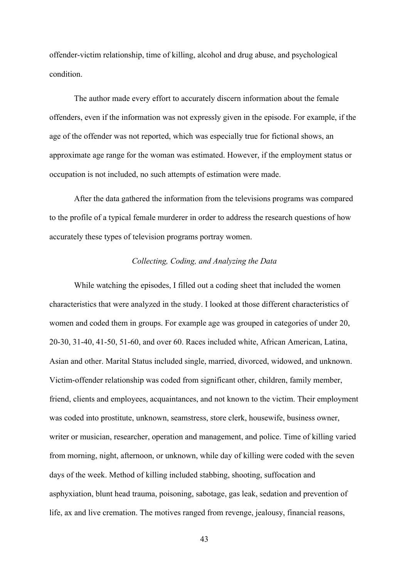offender-victim relationship, time of killing, alcohol and drug abuse, and psychological condition.

The author made every effort to accurately discern information about the female offenders, even if the information was not expressly given in the episode. For example, if the age of the offender was not reported, which was especially true for fictional shows, an approximate age range for the woman was estimated. However, if the employment status or occupation is not included, no such attempts of estimation were made.

After the data gathered the information from the televisions programs was compared to the profile of a typical female murderer in order to address the research questions of how accurately these types of television programs portray women.

# *Collecting, Coding, and Analyzing the Data*

While watching the episodes, I filled out a coding sheet that included the women characteristics that were analyzed in the study. I looked at those different characteristics of women and coded them in groups. For example age was grouped in categories of under 20, 20-30, 31-40, 41-50, 51-60, and over 60. Races included white, African American, Latina, Asian and other. Marital Status included single, married, divorced, widowed, and unknown. Victim-offender relationship was coded from significant other, children, family member, friend, clients and employees, acquaintances, and not known to the victim. Their employment was coded into prostitute, unknown, seamstress, store clerk, housewife, business owner, writer or musician, researcher, operation and management, and police. Time of killing varied from morning, night, afternoon, or unknown, while day of killing were coded with the seven days of the week. Method of killing included stabbing, shooting, suffocation and asphyxiation, blunt head trauma, poisoning, sabotage, gas leak, sedation and prevention of life, ax and live cremation. The motives ranged from revenge, jealousy, financial reasons,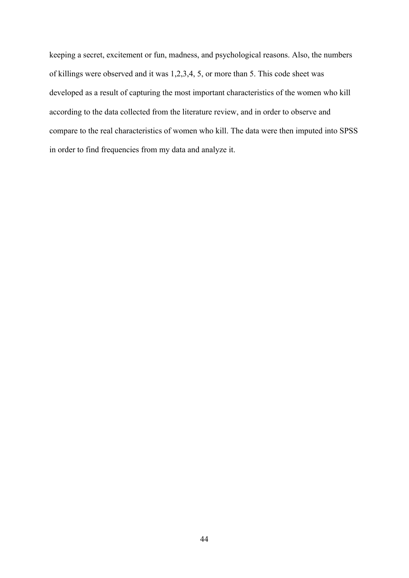keeping a secret, excitement or fun, madness, and psychological reasons. Also, the numbers of killings were observed and it was 1,2,3,4, 5, or more than 5. This code sheet was developed as a result of capturing the most important characteristics of the women who kill according to the data collected from the literature review, and in order to observe and compare to the real characteristics of women who kill. The data were then imputed into SPSS in order to find frequencies from my data and analyze it.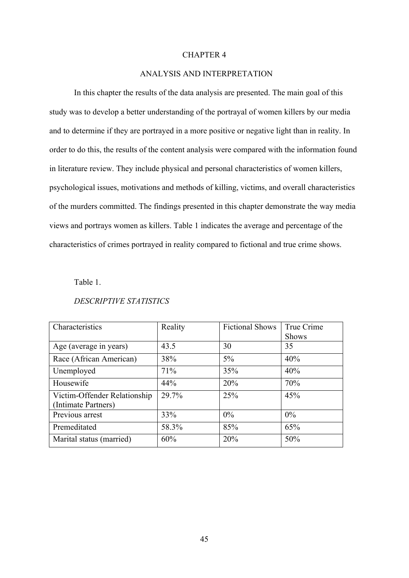## CHAPTER 4

## ANALYSIS AND INTERPRETATION

In this chapter the results of the data analysis are presented. The main goal of this study was to develop a better understanding of the portrayal of women killers by our media and to determine if they are portrayed in a more positive or negative light than in reality. In order to do this, the results of the content analysis were compared with the information found in literature review. They include physical and personal characteristics of women killers, psychological issues, motivations and methods of killing, victims, and overall characteristics of the murders committed. The findings presented in this chapter demonstrate the way media views and portrays women as killers. Table 1 indicates the average and percentage of the characteristics of crimes portrayed in reality compared to fictional and true crime shows.

# Table 1.

| Characteristics                                     | Reality | <b>Fictional Shows</b> | True Crime<br><b>Shows</b> |
|-----------------------------------------------------|---------|------------------------|----------------------------|
| Age (average in years)                              | 43.5    | 30                     | 35                         |
| Race (African American)                             | 38%     | $5\%$                  | 40%                        |
| Unemployed                                          | 71%     | 35%                    | 40%                        |
| Housewife                                           | 44%     | 20%                    | 70%                        |
| Victim-Offender Relationship<br>(Intimate Partners) | 29.7%   | 25%                    | 45%                        |
| Previous arrest                                     | 33%     | 0%                     | $0\%$                      |
| Premeditated                                        | 58.3%   | 85%                    | 65%                        |
| Marital status (married)                            | 60%     | 20%                    | 50%                        |

## *DESCRIPTIVE STATISTICS*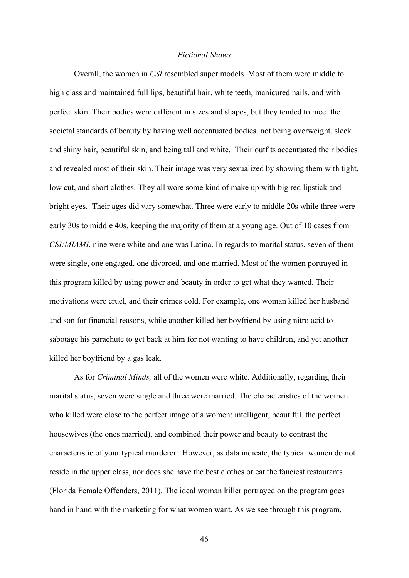### *Fictional Shows*

Overall, the women in *CSI* resembled super models. Most of them were middle to high class and maintained full lips, beautiful hair, white teeth, manicured nails, and with perfect skin. Their bodies were different in sizes and shapes, but they tended to meet the societal standards of beauty by having well accentuated bodies, not being overweight, sleek and shiny hair, beautiful skin, and being tall and white. Their outfits accentuated their bodies and revealed most of their skin. Their image was very sexualized by showing them with tight, low cut, and short clothes. They all wore some kind of make up with big red lipstick and bright eyes. Their ages did vary somewhat. Three were early to middle 20s while three were early 30s to middle 40s, keeping the majority of them at a young age. Out of 10 cases from *CSI:MIAMI*, nine were white and one was Latina. In regards to marital status, seven of them were single, one engaged, one divorced, and one married. Most of the women portrayed in this program killed by using power and beauty in order to get what they wanted. Their motivations were cruel, and their crimes cold. For example, one woman killed her husband and son for financial reasons, while another killed her boyfriend by using nitro acid to sabotage his parachute to get back at him for not wanting to have children, and yet another killed her boyfriend by a gas leak.

As for *Criminal Minds,* all of the women were white. Additionally, regarding their marital status, seven were single and three were married. The characteristics of the women who killed were close to the perfect image of a women: intelligent, beautiful, the perfect housewives (the ones married), and combined their power and beauty to contrast the characteristic of your typical murderer. However, as data indicate, the typical women do not reside in the upper class, nor does she have the best clothes or eat the fanciest restaurants (Florida Female Offenders, 2011). The ideal woman killer portrayed on the program goes hand in hand with the marketing for what women want. As we see through this program,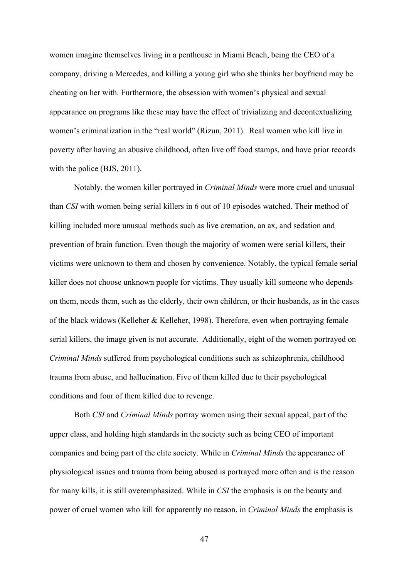women imagine themselves living in a penthouse in Miami Beach, being the CEO of a company, driving a Mercedes, and killing a young girl who she thinks her boyfriend may be cheating on her with. Furthermore, the obsession with women's physical and sexual appearance on programs like these may have the effect of trivializing and decontextualizing women's criminalization in the "real world" (Rizun, 2011). Real women who kill live in poverty after having an abusive childhood, often live off food stamps, and have prior records with the police (BJS, 2011).

Notably, the women killer portrayed in *Criminal Minds* were more cruel and unusual than *CSI* with women being serial killers in 6 out of 10 episodes watched. Their method of killing included more unusual methods such as live cremation, an ax, and sedation and prevention of brain function. Even though the majority of women were serial killers, their victims were unknown to them and chosen by convenience. Notably, the typical female serial killer does not choose unknown people for victims. They usually kill someone who depends on them, needs them, such as the elderly, their own children, or their husbands, as in the cases of the black widows (Kelleher & Kelleher, 1998). Therefore, even when portraying female serial killers, the image given is not accurate. Additionally, eight of the women portrayed on *Criminal Minds* suffered from psychological conditions such as schizophrenia, childhood trauma from abuse, and hallucination. Five of them killed due to their psychological conditions and four of them killed due to revenge.

Both *CSI* and *Criminal Minds* portray women using their sexual appeal, part of the upper class, and holding high standards in the society such as being CEO of important companies and being part of the elite society. While in *Criminal Minds* the appearance of physiological issues and trauma from being abused is portrayed more often and is the reason for many kills, it is still overemphasized. While in *CSI* the emphasis is on the beauty and power of cruel women who kill for apparently no reason, in *Criminal Minds* the emphasis is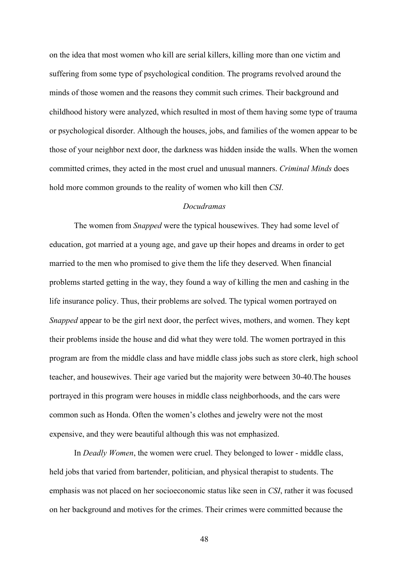on the idea that most women who kill are serial killers, killing more than one victim and suffering from some type of psychological condition. The programs revolved around the minds of those women and the reasons they commit such crimes. Their background and childhood history were analyzed, which resulted in most of them having some type of trauma or psychological disorder. Although the houses, jobs, and families of the women appear to be those of your neighbor next door, the darkness was hidden inside the walls. When the women committed crimes, they acted in the most cruel and unusual manners. *Criminal Minds* does hold more common grounds to the reality of women who kill then *CSI*.

# *Docudramas*

The women from *Snapped* were the typical housewives. They had some level of education, got married at a young age, and gave up their hopes and dreams in order to get married to the men who promised to give them the life they deserved. When financial problems started getting in the way, they found a way of killing the men and cashing in the life insurance policy. Thus, their problems are solved. The typical women portrayed on *Snapped* appear to be the girl next door, the perfect wives, mothers, and women. They kept their problems inside the house and did what they were told. The women portrayed in this program are from the middle class and have middle class jobs such as store clerk, high school teacher, and housewives. Their age varied but the majority were between 30-40.The houses portrayed in this program were houses in middle class neighborhoods, and the cars were common such as Honda. Often the women's clothes and jewelry were not the most expensive, and they were beautiful although this was not emphasized.

In *Deadly Women*, the women were cruel. They belonged to lower - middle class, held jobs that varied from bartender, politician, and physical therapist to students. The emphasis was not placed on her socioeconomic status like seen in *CSI*, rather it was focused on her background and motives for the crimes. Their crimes were committed because the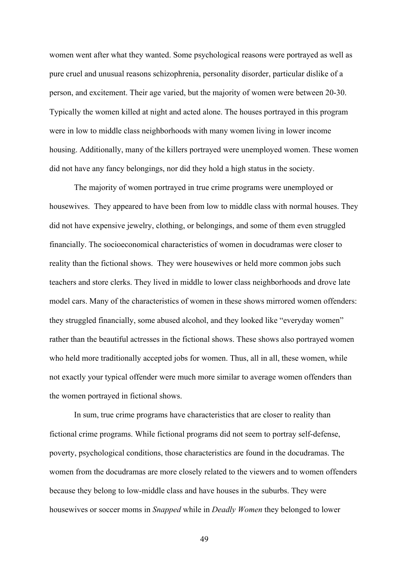women went after what they wanted. Some psychological reasons were portrayed as well as pure cruel and unusual reasons schizophrenia, personality disorder, particular dislike of a person, and excitement. Their age varied, but the majority of women were between 20-30. Typically the women killed at night and acted alone. The houses portrayed in this program were in low to middle class neighborhoods with many women living in lower income housing. Additionally, many of the killers portrayed were unemployed women. These women did not have any fancy belongings, nor did they hold a high status in the society.

The majority of women portrayed in true crime programs were unemployed or housewives. They appeared to have been from low to middle class with normal houses. They did not have expensive jewelry, clothing, or belongings, and some of them even struggled financially. The socioeconomical characteristics of women in docudramas were closer to reality than the fictional shows. They were housewives or held more common jobs such teachers and store clerks. They lived in middle to lower class neighborhoods and drove late model cars. Many of the characteristics of women in these shows mirrored women offenders: they struggled financially, some abused alcohol, and they looked like "everyday women" rather than the beautiful actresses in the fictional shows. These shows also portrayed women who held more traditionally accepted jobs for women. Thus, all in all, these women, while not exactly your typical offender were much more similar to average women offenders than the women portrayed in fictional shows.

In sum, true crime programs have characteristics that are closer to reality than fictional crime programs. While fictional programs did not seem to portray self-defense, poverty, psychological conditions, those characteristics are found in the docudramas. The women from the docudramas are more closely related to the viewers and to women offenders because they belong to low-middle class and have houses in the suburbs. They were housewives or soccer moms in *Snapped* while in *Deadly Women* they belonged to lower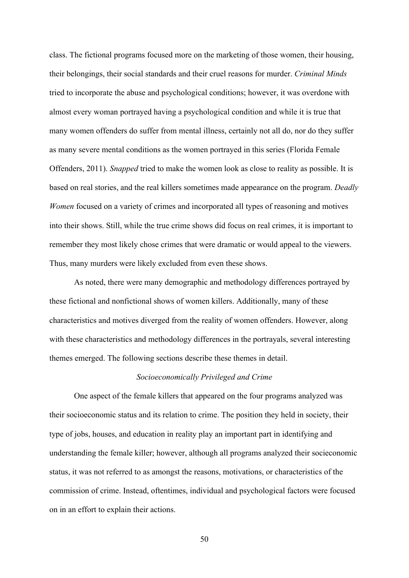class. The fictional programs focused more on the marketing of those women, their housing, their belongings, their social standards and their cruel reasons for murder. *Criminal Minds* tried to incorporate the abuse and psychological conditions; however, it was overdone with almost every woman portrayed having a psychological condition and while it is true that many women offenders do suffer from mental illness, certainly not all do, nor do they suffer as many severe mental conditions as the women portrayed in this series (Florida Female Offenders, 2011). *Snapped* tried to make the women look as close to reality as possible. It is based on real stories, and the real killers sometimes made appearance on the program. *Deadly Women* focused on a variety of crimes and incorporated all types of reasoning and motives into their shows. Still, while the true crime shows did focus on real crimes, it is important to remember they most likely chose crimes that were dramatic or would appeal to the viewers. Thus, many murders were likely excluded from even these shows.

As noted, there were many demographic and methodology differences portrayed by these fictional and nonfictional shows of women killers. Additionally, many of these characteristics and motives diverged from the reality of women offenders. However, along with these characteristics and methodology differences in the portrayals, several interesting themes emerged. The following sections describe these themes in detail.

## *Socioeconomically Privileged and Crime*

One aspect of the female killers that appeared on the four programs analyzed was their socioeconomic status and its relation to crime. The position they held in society, their type of jobs, houses, and education in reality play an important part in identifying and understanding the female killer; however, although all programs analyzed their socieconomic status, it was not referred to as amongst the reasons, motivations, or characteristics of the commission of crime. Instead, oftentimes, individual and psychological factors were focused on in an effort to explain their actions.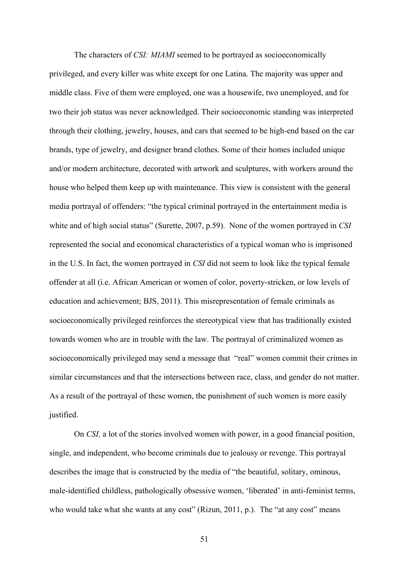The characters of *CSI: MIAMI* seemed to be portrayed as socioeconomically privileged, and every killer was white except for one Latina. The majority was upper and middle class. Five of them were employed, one was a housewife, two unemployed, and for two their job status was never acknowledged. Their socioeconomic standing was interpreted through their clothing, jewelry, houses, and cars that seemed to be high-end based on the car brands, type of jewelry, and designer brand clothes. Some of their homes included unique and/or modern architecture, decorated with artwork and sculptures, with workers around the house who helped them keep up with maintenance. This view is consistent with the general media portrayal of offenders: "the typical criminal portrayed in the entertainment media is white and of high social status" (Surette, 2007, p.59). None of the women portrayed in *CSI* represented the social and economical characteristics of a typical woman who is imprisoned in the U.S. In fact, the women portrayed in *CSI* did not seem to look like the typical female offender at all (i.e. African American or women of color, poverty-stricken, or low levels of education and achievement; BJS, 2011). This misrepresentation of female criminals as socioeconomically privileged reinforces the stereotypical view that has traditionally existed towards women who are in trouble with the law. The portrayal of criminalized women as socioeconomically privileged may send a message that "real" women commit their crimes in similar circumstances and that the intersections between race, class, and gender do not matter. As a result of the portrayal of these women, the punishment of such women is more easily justified.

On *CSI,* a lot of the stories involved women with power, in a good financial position, single, and independent, who become criminals due to jealousy or revenge. This portrayal describes the image that is constructed by the media of "the beautiful, solitary, ominous, male-identified childless, pathologically obsessive women, 'liberated' in anti-feminist terms, who would take what she wants at any cost" (Rizun, 2011, p.). The "at any cost" means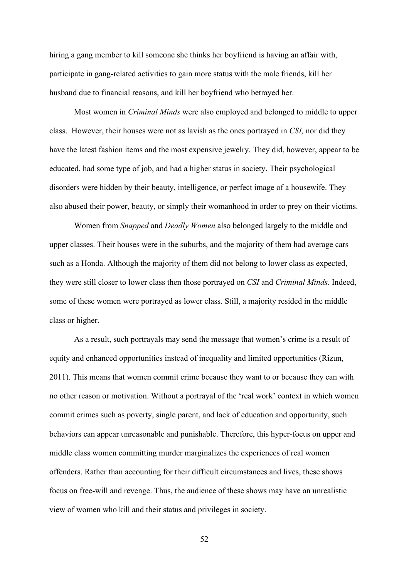hiring a gang member to kill someone she thinks her boyfriend is having an affair with, participate in gang-related activities to gain more status with the male friends, kill her husband due to financial reasons, and kill her boyfriend who betrayed her.

Most women in *Criminal Minds* were also employed and belonged to middle to upper class. However, their houses were not as lavish as the ones portrayed in *CSI,* nor did they have the latest fashion items and the most expensive jewelry. They did, however, appear to be educated, had some type of job, and had a higher status in society. Their psychological disorders were hidden by their beauty, intelligence, or perfect image of a housewife. They also abused their power, beauty, or simply their womanhood in order to prey on their victims.

Women from *Snapped* and *Deadly Women* also belonged largely to the middle and upper classes. Their houses were in the suburbs, and the majority of them had average cars such as a Honda. Although the majority of them did not belong to lower class as expected, they were still closer to lower class then those portrayed on *CSI* and *Criminal Minds*. Indeed, some of these women were portrayed as lower class. Still, a majority resided in the middle class or higher.

As a result, such portrayals may send the message that women's crime is a result of equity and enhanced opportunities instead of inequality and limited opportunities (Rizun, 2011). This means that women commit crime because they want to or because they can with no other reason or motivation. Without a portrayal of the 'real work' context in which women commit crimes such as poverty, single parent, and lack of education and opportunity, such behaviors can appear unreasonable and punishable. Therefore, this hyper-focus on upper and middle class women committing murder marginalizes the experiences of real women offenders. Rather than accounting for their difficult circumstances and lives, these shows focus on free-will and revenge. Thus, the audience of these shows may have an unrealistic view of women who kill and their status and privileges in society.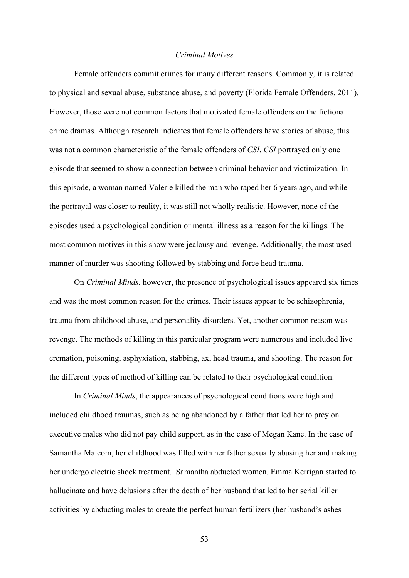### *Criminal Motives*

Female offenders commit crimes for many different reasons. Commonly, it is related to physical and sexual abuse, substance abuse, and poverty (Florida Female Offenders, 2011). However, those were not common factors that motivated female offenders on the fictional crime dramas. Although research indicates that female offenders have stories of abuse, this was not a common characteristic of the female offenders of *CSI***.** *CSI* portrayed only one episode that seemed to show a connection between criminal behavior and victimization. In this episode, a woman named Valerie killed the man who raped her 6 years ago, and while the portrayal was closer to reality, it was still not wholly realistic. However, none of the episodes used a psychological condition or mental illness as a reason for the killings. The most common motives in this show were jealousy and revenge. Additionally, the most used manner of murder was shooting followed by stabbing and force head trauma.

On *Criminal Minds*, however, the presence of psychological issues appeared six times and was the most common reason for the crimes. Their issues appear to be schizophrenia, trauma from childhood abuse, and personality disorders. Yet, another common reason was revenge. The methods of killing in this particular program were numerous and included live cremation, poisoning, asphyxiation, stabbing, ax, head trauma, and shooting. The reason for the different types of method of killing can be related to their psychological condition.

In *Criminal Minds*, the appearances of psychological conditions were high and included childhood traumas, such as being abandoned by a father that led her to prey on executive males who did not pay child support, as in the case of Megan Kane. In the case of Samantha Malcom, her childhood was filled with her father sexually abusing her and making her undergo electric shock treatment. Samantha abducted women. Emma Kerrigan started to hallucinate and have delusions after the death of her husband that led to her serial killer activities by abducting males to create the perfect human fertilizers (her husband's ashes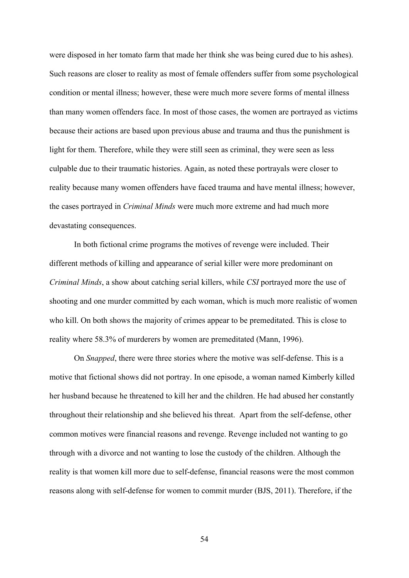were disposed in her tomato farm that made her think she was being cured due to his ashes). Such reasons are closer to reality as most of female offenders suffer from some psychological condition or mental illness; however, these were much more severe forms of mental illness than many women offenders face. In most of those cases, the women are portrayed as victims because their actions are based upon previous abuse and trauma and thus the punishment is light for them. Therefore, while they were still seen as criminal, they were seen as less culpable due to their traumatic histories. Again, as noted these portrayals were closer to reality because many women offenders have faced trauma and have mental illness; however, the cases portrayed in *Criminal Minds* were much more extreme and had much more devastating consequences.

In both fictional crime programs the motives of revenge were included. Their different methods of killing and appearance of serial killer were more predominant on *Criminal Minds*, a show about catching serial killers, while *CSI* portrayed more the use of shooting and one murder committed by each woman, which is much more realistic of women who kill. On both shows the majority of crimes appear to be premeditated. This is close to reality where 58.3% of murderers by women are premeditated (Mann, 1996).

On *Snapped*, there were three stories where the motive was self-defense. This is a motive that fictional shows did not portray. In one episode, a woman named Kimberly killed her husband because he threatened to kill her and the children. He had abused her constantly throughout their relationship and she believed his threat. Apart from the self-defense, other common motives were financial reasons and revenge. Revenge included not wanting to go through with a divorce and not wanting to lose the custody of the children. Although the reality is that women kill more due to self-defense, financial reasons were the most common reasons along with self-defense for women to commit murder (BJS, 2011). Therefore, if the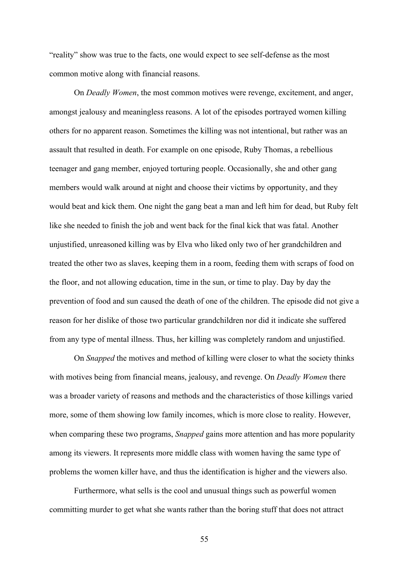"reality" show was true to the facts, one would expect to see self-defense as the most common motive along with financial reasons.

On *Deadly Women*, the most common motives were revenge, excitement, and anger, amongst jealousy and meaningless reasons. A lot of the episodes portrayed women killing others for no apparent reason. Sometimes the killing was not intentional, but rather was an assault that resulted in death. For example on one episode, Ruby Thomas, a rebellious teenager and gang member, enjoyed torturing people. Occasionally, she and other gang members would walk around at night and choose their victims by opportunity, and they would beat and kick them. One night the gang beat a man and left him for dead, but Ruby felt like she needed to finish the job and went back for the final kick that was fatal. Another unjustified, unreasoned killing was by Elva who liked only two of her grandchildren and treated the other two as slaves, keeping them in a room, feeding them with scraps of food on the floor, and not allowing education, time in the sun, or time to play. Day by day the prevention of food and sun caused the death of one of the children. The episode did not give a reason for her dislike of those two particular grandchildren nor did it indicate she suffered from any type of mental illness. Thus, her killing was completely random and unjustified.

On *Snapped* the motives and method of killing were closer to what the society thinks with motives being from financial means, jealousy, and revenge. On *Deadly Women* there was a broader variety of reasons and methods and the characteristics of those killings varied more, some of them showing low family incomes, which is more close to reality. However, when comparing these two programs, *Snapped* gains more attention and has more popularity among its viewers. It represents more middle class with women having the same type of problems the women killer have, and thus the identification is higher and the viewers also.

Furthermore, what sells is the cool and unusual things such as powerful women committing murder to get what she wants rather than the boring stuff that does not attract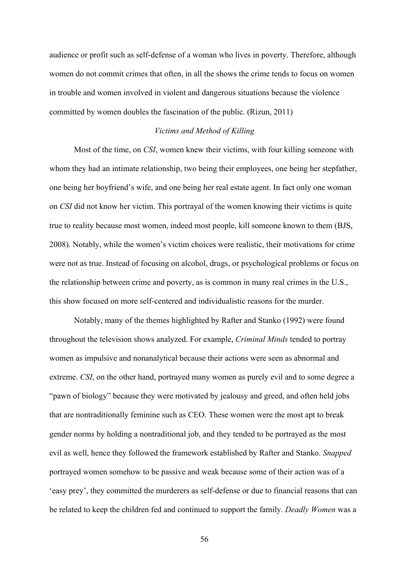audience or profit such as self-defense of a woman who lives in poverty. Therefore, although women do not commit crimes that often, in all the shows the crime tends to focus on women in trouble and women involved in violent and dangerous situations because the violence committed by women doubles the fascination of the public. (Rizun, 2011)

#### *Victims and Method of Killing*

Most of the time, on *CSI*, women knew their victims, with four killing someone with whom they had an intimate relationship, two being their employees, one being her stepfather, one being her boyfriend's wife, and one being her real estate agent. In fact only one woman on *CSI* did not know her victim. This portrayal of the women knowing their victims is quite true to reality because most women, indeed most people, kill someone known to them (BJS, 2008). Notably, while the women's victim choices were realistic, their motivations for crime were not as true. Instead of focusing on alcohol, drugs, or psychological problems or focus on the relationship between crime and poverty, as is common in many real crimes in the U.S., this show focused on more self-centered and individualistic reasons for the murder.

Notably, many of the themes highlighted by Rafter and Stanko (1992) were found throughout the television shows analyzed. For example, *Criminal Minds* tended to portray women as impulsive and nonanalytical because their actions were seen as abnormal and extreme. *CSI*, on the other hand, portrayed many women as purely evil and to some degree a "pawn of biology" because they were motivated by jealousy and greed, and often held jobs that are nontraditionally feminine such as CEO. These women were the most apt to break gender norms by holding a nontraditional job, and they tended to be portrayed as the most evil as well, hence they followed the framework established by Rafter and Stanko. *Snapped* portrayed women somehow to be passive and weak because some of their action was of a 'easy prey', they committed the murderers as self-defense or due to financial reasons that can be related to keep the children fed and continued to support the family. *Deadly Women* was a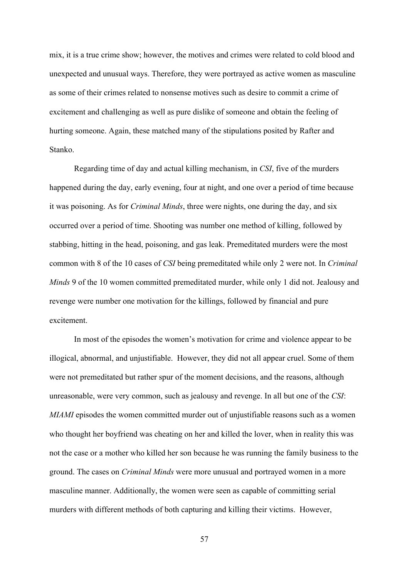mix, it is a true crime show; however, the motives and crimes were related to cold blood and unexpected and unusual ways. Therefore, they were portrayed as active women as masculine as some of their crimes related to nonsense motives such as desire to commit a crime of excitement and challenging as well as pure dislike of someone and obtain the feeling of hurting someone. Again, these matched many of the stipulations posited by Rafter and Stanko.

Regarding time of day and actual killing mechanism, in *CSI*, five of the murders happened during the day, early evening, four at night, and one over a period of time because it was poisoning. As for *Criminal Minds*, three were nights, one during the day, and six occurred over a period of time. Shooting was number one method of killing, followed by stabbing, hitting in the head, poisoning, and gas leak. Premeditated murders were the most common with 8 of the 10 cases of *CSI* being premeditated while only 2 were not. In *Criminal Minds* 9 of the 10 women committed premeditated murder, while only 1 did not. Jealousy and revenge were number one motivation for the killings, followed by financial and pure excitement.

In most of the episodes the women's motivation for crime and violence appear to be illogical, abnormal, and unjustifiable. However, they did not all appear cruel. Some of them were not premeditated but rather spur of the moment decisions, and the reasons, although unreasonable, were very common, such as jealousy and revenge. In all but one of the *CSI*: *MIAMI* episodes the women committed murder out of unjustifiable reasons such as a women who thought her boyfriend was cheating on her and killed the lover, when in reality this was not the case or a mother who killed her son because he was running the family business to the ground. The cases on *Criminal Minds* were more unusual and portrayed women in a more masculine manner. Additionally, the women were seen as capable of committing serial murders with different methods of both capturing and killing their victims. However,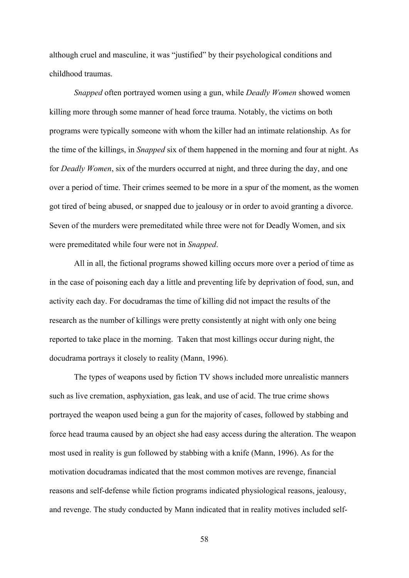although cruel and masculine, it was "justified" by their psychological conditions and childhood traumas.

*Snapped* often portrayed women using a gun, while *Deadly Women* showed women killing more through some manner of head force trauma. Notably, the victims on both programs were typically someone with whom the killer had an intimate relationship. As for the time of the killings, in *Snapped* six of them happened in the morning and four at night. As for *Deadly Women*, six of the murders occurred at night, and three during the day, and one over a period of time. Their crimes seemed to be more in a spur of the moment, as the women got tired of being abused, or snapped due to jealousy or in order to avoid granting a divorce. Seven of the murders were premeditated while three were not for Deadly Women, and six were premeditated while four were not in *Snapped*.

All in all, the fictional programs showed killing occurs more over a period of time as in the case of poisoning each day a little and preventing life by deprivation of food, sun, and activity each day. For docudramas the time of killing did not impact the results of the research as the number of killings were pretty consistently at night with only one being reported to take place in the morning. Taken that most killings occur during night, the docudrama portrays it closely to reality (Mann, 1996).

The types of weapons used by fiction TV shows included more unrealistic manners such as live cremation, asphyxiation, gas leak, and use of acid. The true crime shows portrayed the weapon used being a gun for the majority of cases, followed by stabbing and force head trauma caused by an object she had easy access during the alteration. The weapon most used in reality is gun followed by stabbing with a knife (Mann, 1996). As for the motivation docudramas indicated that the most common motives are revenge, financial reasons and self-defense while fiction programs indicated physiological reasons, jealousy, and revenge. The study conducted by Mann indicated that in reality motives included self-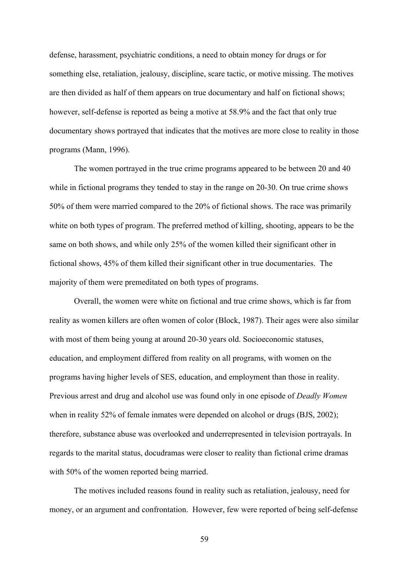defense, harassment, psychiatric conditions, a need to obtain money for drugs or for something else, retaliation, jealousy, discipline, scare tactic, or motive missing. The motives are then divided as half of them appears on true documentary and half on fictional shows; however, self-defense is reported as being a motive at 58.9% and the fact that only true documentary shows portrayed that indicates that the motives are more close to reality in those programs (Mann, 1996).

The women portrayed in the true crime programs appeared to be between 20 and 40 while in fictional programs they tended to stay in the range on 20-30. On true crime shows 50% of them were married compared to the 20% of fictional shows. The race was primarily white on both types of program. The preferred method of killing, shooting, appears to be the same on both shows, and while only 25% of the women killed their significant other in fictional shows, 45% of them killed their significant other in true documentaries. The majority of them were premeditated on both types of programs.

Overall, the women were white on fictional and true crime shows, which is far from reality as women killers are often women of color (Block, 1987). Their ages were also similar with most of them being young at around 20-30 years old. Socioeconomic statuses, education, and employment differed from reality on all programs, with women on the programs having higher levels of SES, education, and employment than those in reality. Previous arrest and drug and alcohol use was found only in one episode of *Deadly Women* when in reality 52% of female inmates were depended on alcohol or drugs (BJS, 2002); therefore, substance abuse was overlooked and underrepresented in television portrayals. In regards to the marital status, docudramas were closer to reality than fictional crime dramas with 50% of the women reported being married.

The motives included reasons found in reality such as retaliation, jealousy, need for money, or an argument and confrontation. However, few were reported of being self-defense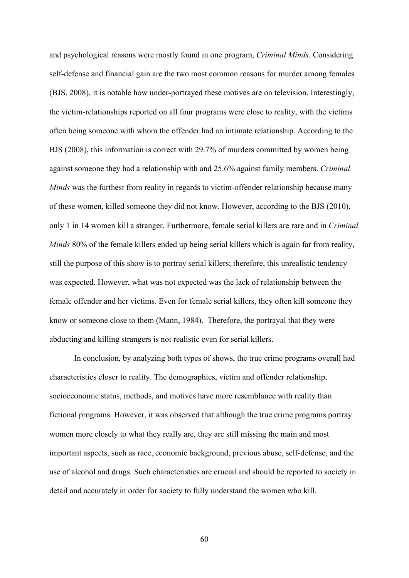and psychological reasons were mostly found in one program, *Criminal Minds*. Considering self-defense and financial gain are the two most common reasons for murder among females (BJS, 2008), it is notable how under-portrayed these motives are on television. Interestingly, the victim-relationships reported on all four programs were close to reality, with the victims often being someone with whom the offender had an intimate relationship. According to the BJS (2008), this information is correct with 29.7% of murders committed by women being against someone they had a relationship with and 25.6% against family members. *Criminal Minds* was the furthest from reality in regards to victim-offender relationship because many of these women, killed someone they did not know. However, according to the BJS (2010), only 1 in 14 women kill a stranger. Furthermore, female serial killers are rare and in *Criminal Minds* 80% of the female killers ended up being serial killers which is again far from reality, still the purpose of this show is to portray serial killers; therefore, this unrealistic tendency was expected. However, what was not expected was the lack of relationship between the female offender and her victims. Even for female serial killers, they often kill someone they know or someone close to them (Mann, 1984). Therefore, the portrayal that they were abducting and killing strangers is not realistic even for serial killers.

In conclusion, by analyzing both types of shows, the true crime programs overall had characteristics closer to reality. The demographics, victim and offender relationship, socioeconomic status, methods, and motives have more resemblance with reality than fictional programs. However, it was observed that although the true crime programs portray women more closely to what they really are, they are still missing the main and most important aspects, such as race, economic background, previous abuse, self-defense, and the use of alcohol and drugs. Such characteristics are crucial and should be reported to society in detail and accurately in order for society to fully understand the women who kill.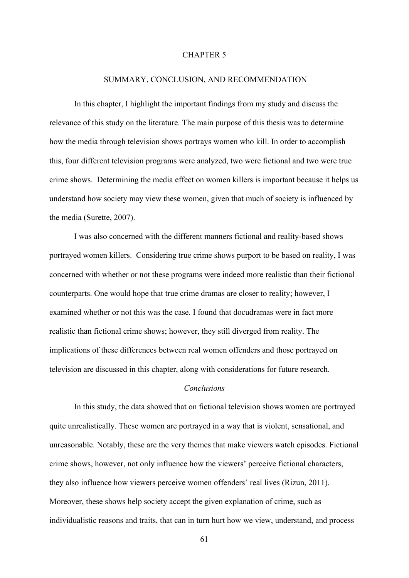#### CHAPTER 5

### SUMMARY, CONCLUSION, AND RECOMMENDATION

In this chapter, I highlight the important findings from my study and discuss the relevance of this study on the literature. The main purpose of this thesis was to determine how the media through television shows portrays women who kill. In order to accomplish this, four different television programs were analyzed, two were fictional and two were true crime shows. Determining the media effect on women killers is important because it helps us understand how society may view these women, given that much of society is influenced by the media (Surette, 2007).

 I was also concerned with the different manners fictional and reality-based shows portrayed women killers. Considering true crime shows purport to be based on reality, I was concerned with whether or not these programs were indeed more realistic than their fictional counterparts. One would hope that true crime dramas are closer to reality; however, I examined whether or not this was the case. I found that docudramas were in fact more realistic than fictional crime shows; however, they still diverged from reality. The implications of these differences between real women offenders and those portrayed on television are discussed in this chapter, along with considerations for future research.

# *Conclusions*

In this study, the data showed that on fictional television shows women are portrayed quite unrealistically. These women are portrayed in a way that is violent, sensational, and unreasonable. Notably, these are the very themes that make viewers watch episodes. Fictional crime shows, however, not only influence how the viewers' perceive fictional characters, they also influence how viewers perceive women offenders' real lives (Rizun, 2011). Moreover, these shows help society accept the given explanation of crime, such as individualistic reasons and traits, that can in turn hurt how we view, understand, and process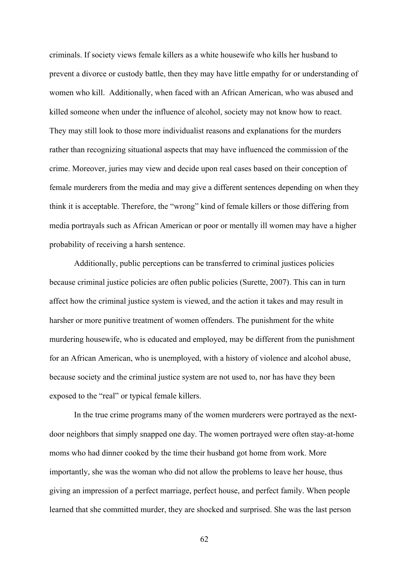criminals. If society views female killers as a white housewife who kills her husband to prevent a divorce or custody battle, then they may have little empathy for or understanding of women who kill. Additionally, when faced with an African American, who was abused and killed someone when under the influence of alcohol, society may not know how to react. They may still look to those more individualist reasons and explanations for the murders rather than recognizing situational aspects that may have influenced the commission of the crime. Moreover, juries may view and decide upon real cases based on their conception of female murderers from the media and may give a different sentences depending on when they think it is acceptable. Therefore, the "wrong" kind of female killers or those differing from media portrayals such as African American or poor or mentally ill women may have a higher probability of receiving a harsh sentence.

Additionally, public perceptions can be transferred to criminal justices policies because criminal justice policies are often public policies (Surette, 2007). This can in turn affect how the criminal justice system is viewed, and the action it takes and may result in harsher or more punitive treatment of women offenders. The punishment for the white murdering housewife, who is educated and employed, may be different from the punishment for an African American, who is unemployed, with a history of violence and alcohol abuse, because society and the criminal justice system are not used to, nor has have they been exposed to the "real" or typical female killers.

In the true crime programs many of the women murderers were portrayed as the nextdoor neighbors that simply snapped one day. The women portrayed were often stay-at-home moms who had dinner cooked by the time their husband got home from work. More importantly, she was the woman who did not allow the problems to leave her house, thus giving an impression of a perfect marriage, perfect house, and perfect family. When people learned that she committed murder, they are shocked and surprised. She was the last person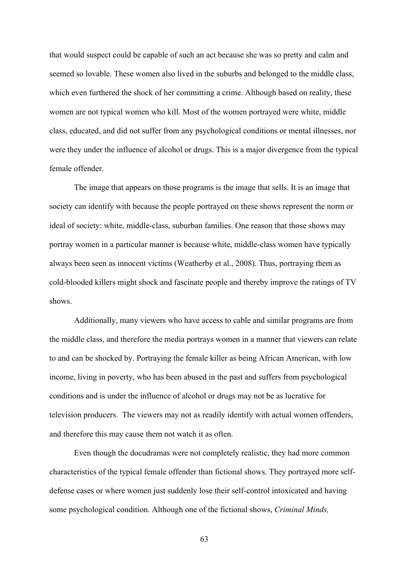that would suspect could be capable of such an act because she was so pretty and calm and seemed so lovable. These women also lived in the suburbs and belonged to the middle class, which even furthered the shock of her committing a crime. Although based on reality, these women are not typical women who kill. Most of the women portrayed were white, middle class, educated, and did not suffer from any psychological conditions or mental illnesses, nor were they under the influence of alcohol or drugs. This is a major divergence from the typical female offender.

The image that appears on those programs is the image that sells. It is an image that society can identify with because the people portrayed on these shows represent the norm or ideal of society: white, middle-class, suburban families. One reason that those shows may portray women in a particular manner is because white, middle-class women have typically always been seen as innocent victims (Weatherby et al., 2008). Thus, portraying them as cold-blooded killers might shock and fascinate people and thereby improve the ratings of TV shows.

Additionally, many viewers who have access to cable and similar programs are from the middle class, and therefore the media portrays women in a manner that viewers can relate to and can be shocked by. Portraying the female killer as being African American, with low income, living in poverty, who has been abused in the past and suffers from psychological conditions and is under the influence of alcohol or drugs may not be as lucrative for television producers. The viewers may not as readily identify with actual women offenders, and therefore this may cause them not watch it as often.

Even though the docudramas were not completely realistic, they had more common characteristics of the typical female offender than fictional shows. They portrayed more selfdefense cases or where women just suddenly lose their self-control intoxicated and having some psychological condition. Although one of the fictional shows, *Criminal Minds,*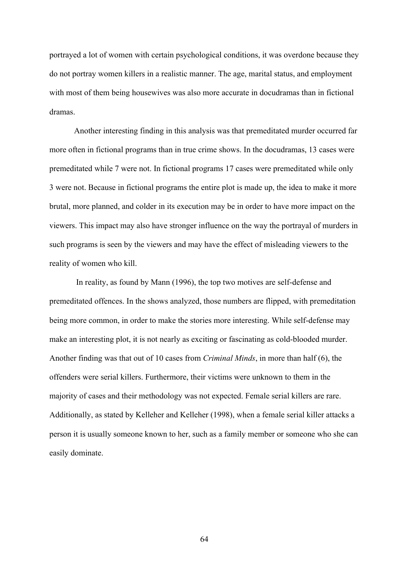portrayed a lot of women with certain psychological conditions, it was overdone because they do not portray women killers in a realistic manner. The age, marital status, and employment with most of them being housewives was also more accurate in docudramas than in fictional dramas.

Another interesting finding in this analysis was that premeditated murder occurred far more often in fictional programs than in true crime shows. In the docudramas, 13 cases were premeditated while 7 were not. In fictional programs 17 cases were premeditated while only 3 were not. Because in fictional programs the entire plot is made up, the idea to make it more brutal, more planned, and colder in its execution may be in order to have more impact on the viewers. This impact may also have stronger influence on the way the portrayal of murders in such programs is seen by the viewers and may have the effect of misleading viewers to the reality of women who kill.

In reality, as found by Mann (1996), the top two motives are self-defense and premeditated offences. In the shows analyzed, those numbers are flipped, with premeditation being more common, in order to make the stories more interesting. While self-defense may make an interesting plot, it is not nearly as exciting or fascinating as cold-blooded murder. Another finding was that out of 10 cases from *Criminal Minds*, in more than half (6), the offenders were serial killers. Furthermore, their victims were unknown to them in the majority of cases and their methodology was not expected. Female serial killers are rare. Additionally, as stated by Kelleher and Kelleher (1998), when a female serial killer attacks a person it is usually someone known to her, such as a family member or someone who she can easily dominate.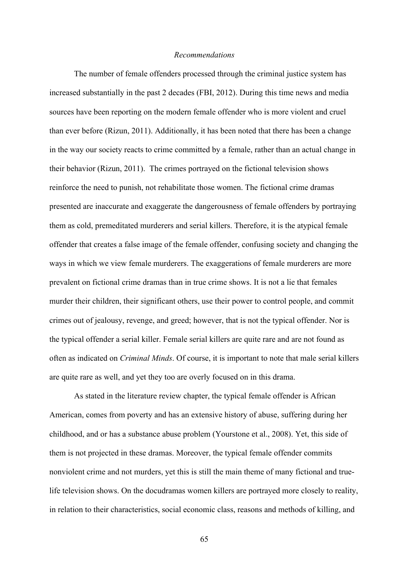### *Recommendations*

The number of female offenders processed through the criminal justice system has increased substantially in the past 2 decades (FBI, 2012). During this time news and media sources have been reporting on the modern female offender who is more violent and cruel than ever before (Rizun, 2011). Additionally, it has been noted that there has been a change in the way our society reacts to crime committed by a female, rather than an actual change in their behavior (Rizun, 2011). The crimes portrayed on the fictional television shows reinforce the need to punish, not rehabilitate those women. The fictional crime dramas presented are inaccurate and exaggerate the dangerousness of female offenders by portraying them as cold, premeditated murderers and serial killers. Therefore, it is the atypical female offender that creates a false image of the female offender, confusing society and changing the ways in which we view female murderers. The exaggerations of female murderers are more prevalent on fictional crime dramas than in true crime shows. It is not a lie that females murder their children, their significant others, use their power to control people, and commit crimes out of jealousy, revenge, and greed; however, that is not the typical offender. Nor is the typical offender a serial killer. Female serial killers are quite rare and are not found as often as indicated on *Criminal Minds*. Of course, it is important to note that male serial killers are quite rare as well, and yet they too are overly focused on in this drama.

As stated in the literature review chapter, the typical female offender is African American, comes from poverty and has an extensive history of abuse, suffering during her childhood, and or has a substance abuse problem (Yourstone et al., 2008). Yet, this side of them is not projected in these dramas. Moreover, the typical female offender commits nonviolent crime and not murders, yet this is still the main theme of many fictional and truelife television shows. On the docudramas women killers are portrayed more closely to reality, in relation to their characteristics, social economic class, reasons and methods of killing, and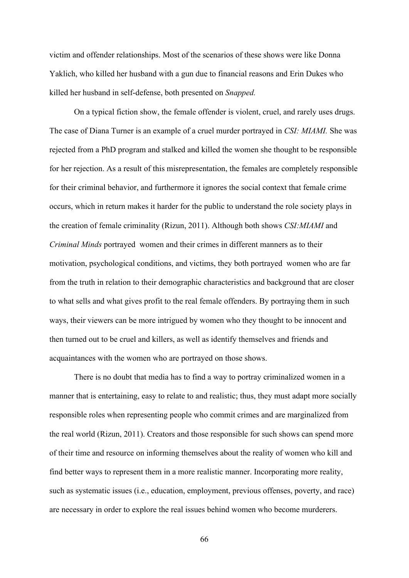victim and offender relationships. Most of the scenarios of these shows were like Donna Yaklich, who killed her husband with a gun due to financial reasons and Erin Dukes who killed her husband in self-defense, both presented on *Snapped.*

On a typical fiction show, the female offender is violent, cruel, and rarely uses drugs. The case of Diana Turner is an example of a cruel murder portrayed in *CSI: MIAMI.* She was rejected from a PhD program and stalked and killed the women she thought to be responsible for her rejection. As a result of this misrepresentation, the females are completely responsible for their criminal behavior, and furthermore it ignores the social context that female crime occurs, which in return makes it harder for the public to understand the role society plays in the creation of female criminality (Rizun, 2011). Although both shows *CSI:MIAMI* and *Criminal Minds* portrayed women and their crimes in different manners as to their motivation, psychological conditions, and victims, they both portrayed women who are far from the truth in relation to their demographic characteristics and background that are closer to what sells and what gives profit to the real female offenders. By portraying them in such ways, their viewers can be more intrigued by women who they thought to be innocent and then turned out to be cruel and killers, as well as identify themselves and friends and acquaintances with the women who are portrayed on those shows.

There is no doubt that media has to find a way to portray criminalized women in a manner that is entertaining, easy to relate to and realistic; thus, they must adapt more socially responsible roles when representing people who commit crimes and are marginalized from the real world (Rizun, 2011). Creators and those responsible for such shows can spend more of their time and resource on informing themselves about the reality of women who kill and find better ways to represent them in a more realistic manner. Incorporating more reality, such as systematic issues (i.e., education, employment, previous offenses, poverty, and race) are necessary in order to explore the real issues behind women who become murderers.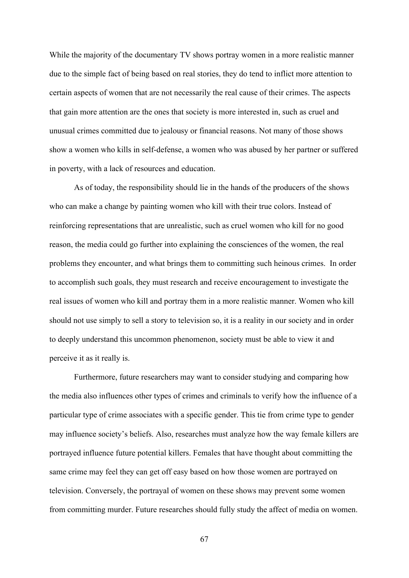While the majority of the documentary TV shows portray women in a more realistic manner due to the simple fact of being based on real stories, they do tend to inflict more attention to certain aspects of women that are not necessarily the real cause of their crimes. The aspects that gain more attention are the ones that society is more interested in, such as cruel and unusual crimes committed due to jealousy or financial reasons. Not many of those shows show a women who kills in self-defense, a women who was abused by her partner or suffered in poverty, with a lack of resources and education.

As of today, the responsibility should lie in the hands of the producers of the shows who can make a change by painting women who kill with their true colors. Instead of reinforcing representations that are unrealistic, such as cruel women who kill for no good reason, the media could go further into explaining the consciences of the women, the real problems they encounter, and what brings them to committing such heinous crimes. In order to accomplish such goals, they must research and receive encouragement to investigate the real issues of women who kill and portray them in a more realistic manner. Women who kill should not use simply to sell a story to television so, it is a reality in our society and in order to deeply understand this uncommon phenomenon, society must be able to view it and perceive it as it really is.

Furthermore, future researchers may want to consider studying and comparing how the media also influences other types of crimes and criminals to verify how the influence of a particular type of crime associates with a specific gender. This tie from crime type to gender may influence society's beliefs. Also, researches must analyze how the way female killers are portrayed influence future potential killers. Females that have thought about committing the same crime may feel they can get off easy based on how those women are portrayed on television. Conversely, the portrayal of women on these shows may prevent some women from committing murder. Future researches should fully study the affect of media on women.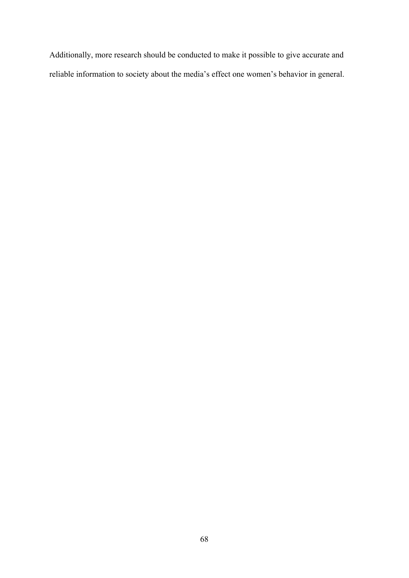Additionally, more research should be conducted to make it possible to give accurate and reliable information to society about the media's effect one women's behavior in general.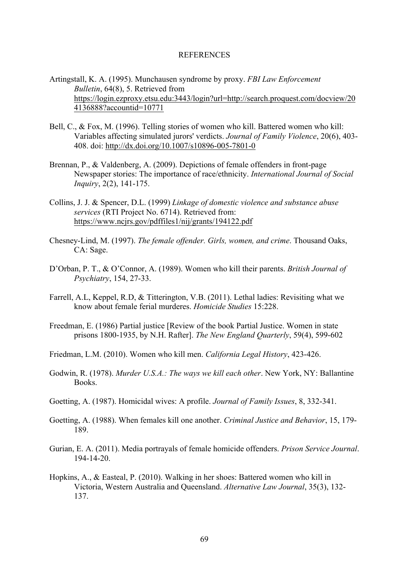#### **REFERENCES**

- Artingstall, K. A. (1995). Munchausen syndrome by proxy. *FBI Law Enforcement Bulletin*, 64(8), 5. Retrieved from https://login.ezproxy.etsu.edu:3443/login?url=http://search.proquest.com/docview/20 4136888?accountid=10771
- Bell, C., & Fox, M. (1996). Telling stories of women who kill. Battered women who kill: Variables affecting simulated jurors' verdicts. *Journal of Family Violence*, 20(6), 403- 408. doi: http://dx.doi.org/10.1007/s10896-005-7801-0
- Brennan, P., & Valdenberg, A. (2009). Depictions of female offenders in front-page Newspaper stories: The importance of race/ethnicity. *International Journal of Social Inquiry*, 2(2), 141-175.
- Collins, J. J. & Spencer, D.L. (1999) *Linkage of domestic violence and substance abuse services* (RTI Project No. 6714). Retrieved from: https://www.ncjrs.gov/pdffiles1/nij/grants/194122.pdf
- Chesney-Lind, M. (1997). *The female offender. Girls, women, and crime*. Thousand Oaks, CA: Sage.
- D'Orban, P. T., & O'Connor, A. (1989). Women who kill their parents. *British Journal of Psychiatry*, 154, 27-33.
- Farrell, A.L, Keppel, R.D, & Titterington, V.B. (2011). Lethal ladies: Revisiting what we know about female ferial murderes. *Homicide Studies* 15:228.
- Freedman, E. (1986) Partial justice [Review of the book Partial Justice. Women in state prisons 1800-1935, by N.H. Rafter]. *The New England Quarterly*, 59(4), 599-602
- Friedman, L.M. (2010). Women who kill men. *California Legal History*, 423-426.
- Godwin, R. (1978). *Murder U.S.A.: The ways we kill each other*. New York, NY: Ballantine Books.
- Goetting, A. (1987). Homicidal wives: A profile. *Journal of Family Issues*, 8, 332-341.
- Goetting, A. (1988). When females kill one another. *Criminal Justice and Behavior*, 15, 179- 189.
- Gurian, E. A. (2011). Media portrayals of female homicide offenders. *Prison Service Journal*. 194-14-20.
- Hopkins, A., & Easteal, P. (2010). Walking in her shoes: Battered women who kill in Victoria, Western Australia and Queensland. *Alternative Law Journal*, 35(3), 132- 137.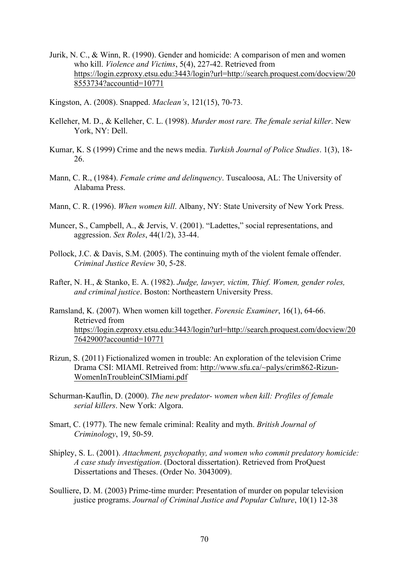- Jurik, N. C., & Winn, R. (1990). Gender and homicide: A comparison of men and women who kill. *Violence and Victims*, 5(4), 227-42. Retrieved from https://login.ezproxy.etsu.edu:3443/login?url=http://search.proquest.com/docview/20 8553734?accountid=10771
- Kingston, A. (2008). Snapped. *Maclean's*, 121(15), 70-73.
- Kelleher, M. D., & Kelleher, C. L. (1998). *Murder most rare. The female serial killer*. New York, NY: Dell.
- Kumar, K. S (1999) Crime and the news media. *Turkish Journal of Police Studies*. 1(3), 18- 26.
- Mann, C. R., (1984). *Female crime and delinquency*. Tuscaloosa, AL: The University of Alabama Press.
- Mann, C. R. (1996). *When women kill*. Albany, NY: State University of New York Press.
- Muncer, S., Campbell, A., & Jervis, V. (2001). "Ladettes," social representations, and aggression. *Sex Roles*, 44(1/2), 33-44.
- Pollock, J.C. & Davis, S.M. (2005). The continuing myth of the violent female offender. *Criminal Justice Review* 30, 5-28.
- Rafter, N. H., & Stanko, E. A. (1982). *Judge, lawyer, victim, Thief. Women, gender roles, and criminal justice*. Boston: Northeastern University Press.
- Ramsland, K. (2007). When women kill together. *Forensic Examiner*, 16(1), 64-66. Retrieved from https://login.ezproxy.etsu.edu:3443/login?url=http://search.proquest.com/docview/20 7642900?accountid=10771
- Rizun, S. (2011) Fictionalized women in trouble: An exploration of the television Crime Drama CSI: MIAMI. Retreived from: http://www.sfu.ca/~palys/crim862-Rizun-WomenInTroubleinCSIMiami.pdf
- Schurman-Kauflin, D. (2000). *The new predator- women when kill: Profiles of female serial killers*. New York: Algora.
- Smart, C. (1977). The new female criminal: Reality and myth. *British Journal of Criminology*, 19, 50-59.
- Shipley, S. L. (2001). *Attachment, psychopathy, and women who commit predatory homicide: A case study investigation*. (Doctoral dissertation). Retrieved from ProQuest Dissertations and Theses. (Order No. 3043009).
- Soulliere, D. M. (2003) Prime-time murder: Presentation of murder on popular television justice programs. *Journal of Criminal Justice and Popular Culture*, 10(1) 12-38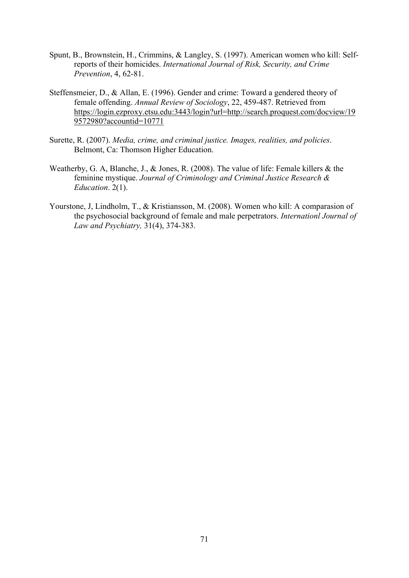- Spunt, B., Brownstein, H., Crimmins, & Langley, S. (1997). American women who kill: Selfreports of their homicides. *International Journal of Risk, Security, and Crime Prevention*, 4, 62-81.
- Steffensmeier, D., & Allan, E. (1996). Gender and crime: Toward a gendered theory of female offending. *Annual Review of Sociology*, 22, 459-487. Retrieved from https://login.ezproxy.etsu.edu:3443/login?url=http://search.proquest.com/docview/19 9572980?accountid=10771
- Surette, R. (2007). *Media, crime, and criminal justice. Images, realities, and policies*. Belmont, Ca: Thomson Higher Education.
- Weatherby, G. A, Blanche, J., & Jones, R. (2008). The value of life: Female killers & the feminine mystique. *Journal of Criminology and Criminal Justice Research & Education*. 2(1).
- Yourstone, J, Lindholm, T., & Kristiansson, M. (2008). Women who kill: A comparasion of the psychosocial background of female and male perpetrators. *Internationl Journal of Law and Psychiatry,* 31(4), 374-383.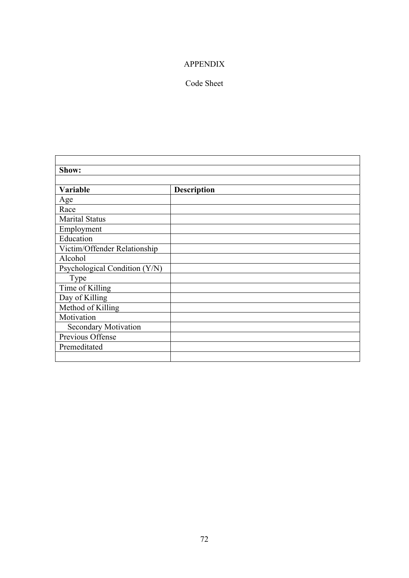## APPENDIX

## Code Sheet

| Show:                         |                    |  |
|-------------------------------|--------------------|--|
|                               |                    |  |
| Variable                      | <b>Description</b> |  |
| Age                           |                    |  |
| Race                          |                    |  |
| <b>Marital Status</b>         |                    |  |
| Employment                    |                    |  |
| Education                     |                    |  |
| Victim/Offender Relationship  |                    |  |
| Alcohol                       |                    |  |
| Psychological Condition (Y/N) |                    |  |
| <b>Type</b>                   |                    |  |
| Time of Killing               |                    |  |
| Day of Killing                |                    |  |
| Method of Killing             |                    |  |
| Motivation                    |                    |  |
| <b>Secondary Motivation</b>   |                    |  |
| Previous Offense              |                    |  |
| Premeditated                  |                    |  |
|                               |                    |  |